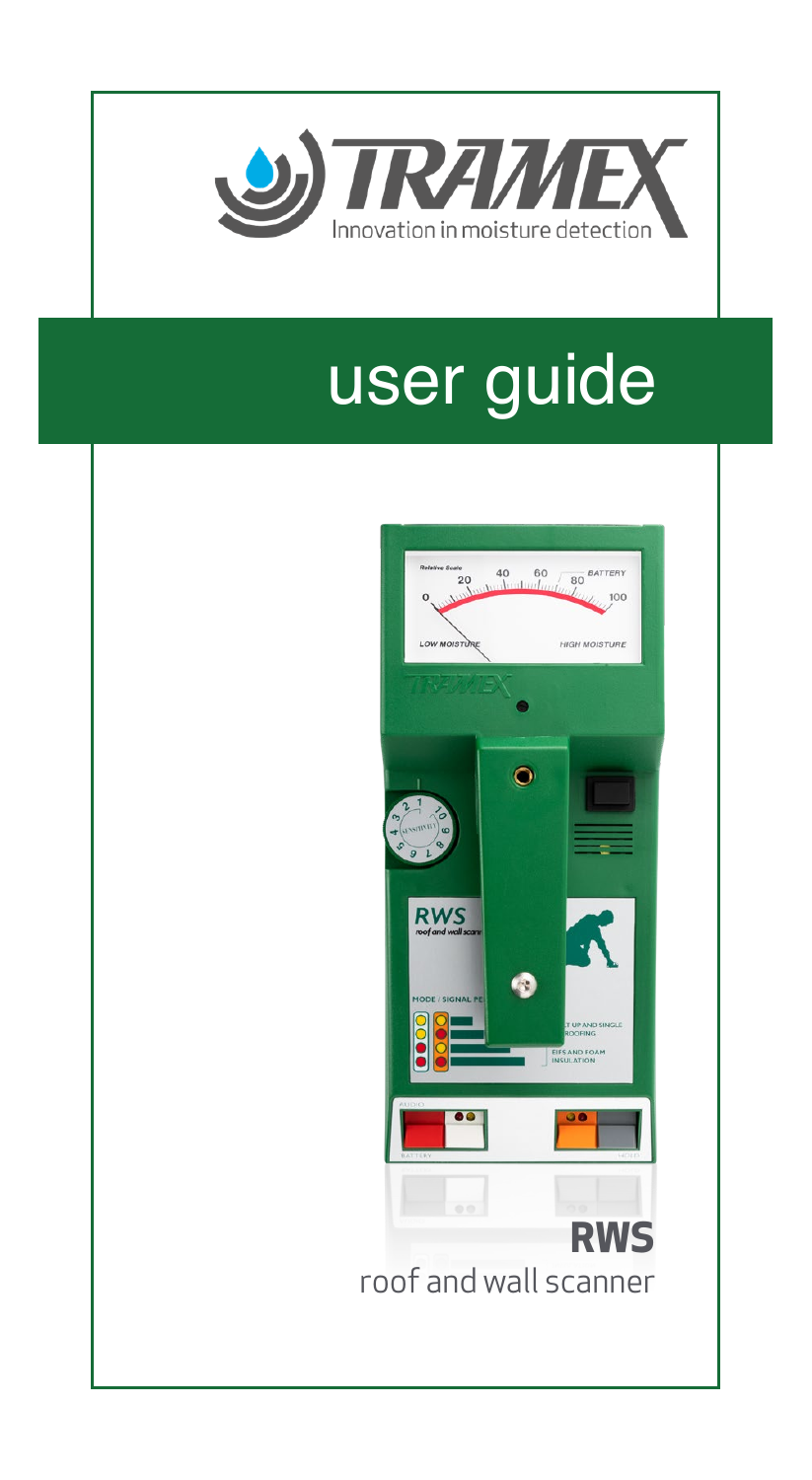

# user guide

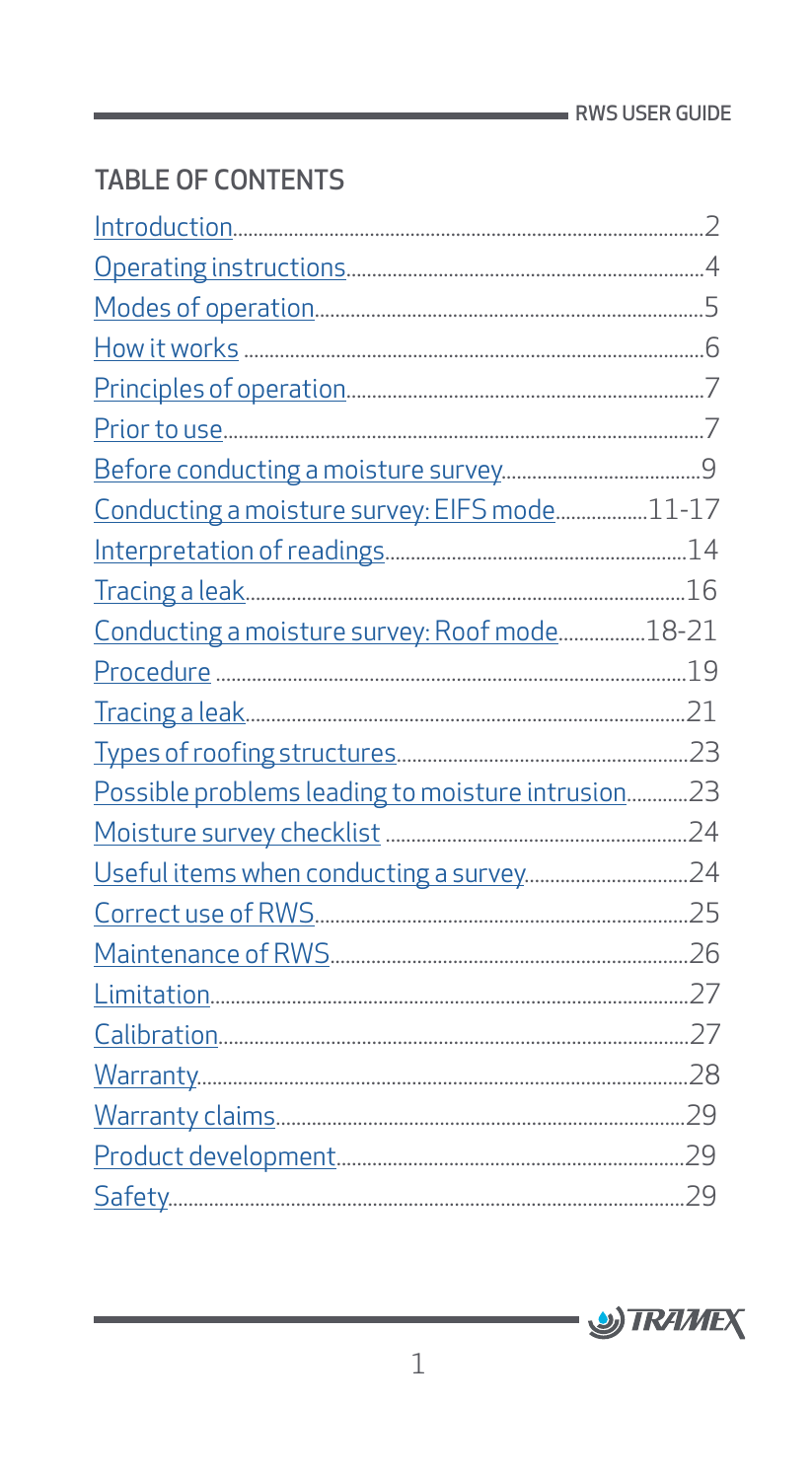# TABLE OF CONTENTS

| Conducting a moisture survey: EIFS mode11-17      |  |
|---------------------------------------------------|--|
|                                                   |  |
|                                                   |  |
| Conducting a moisture survey: Roof mode18-21      |  |
|                                                   |  |
|                                                   |  |
|                                                   |  |
| Possible problems leading to moisture intrusion23 |  |
|                                                   |  |
|                                                   |  |
|                                                   |  |
|                                                   |  |
|                                                   |  |
|                                                   |  |
|                                                   |  |
|                                                   |  |
|                                                   |  |
|                                                   |  |

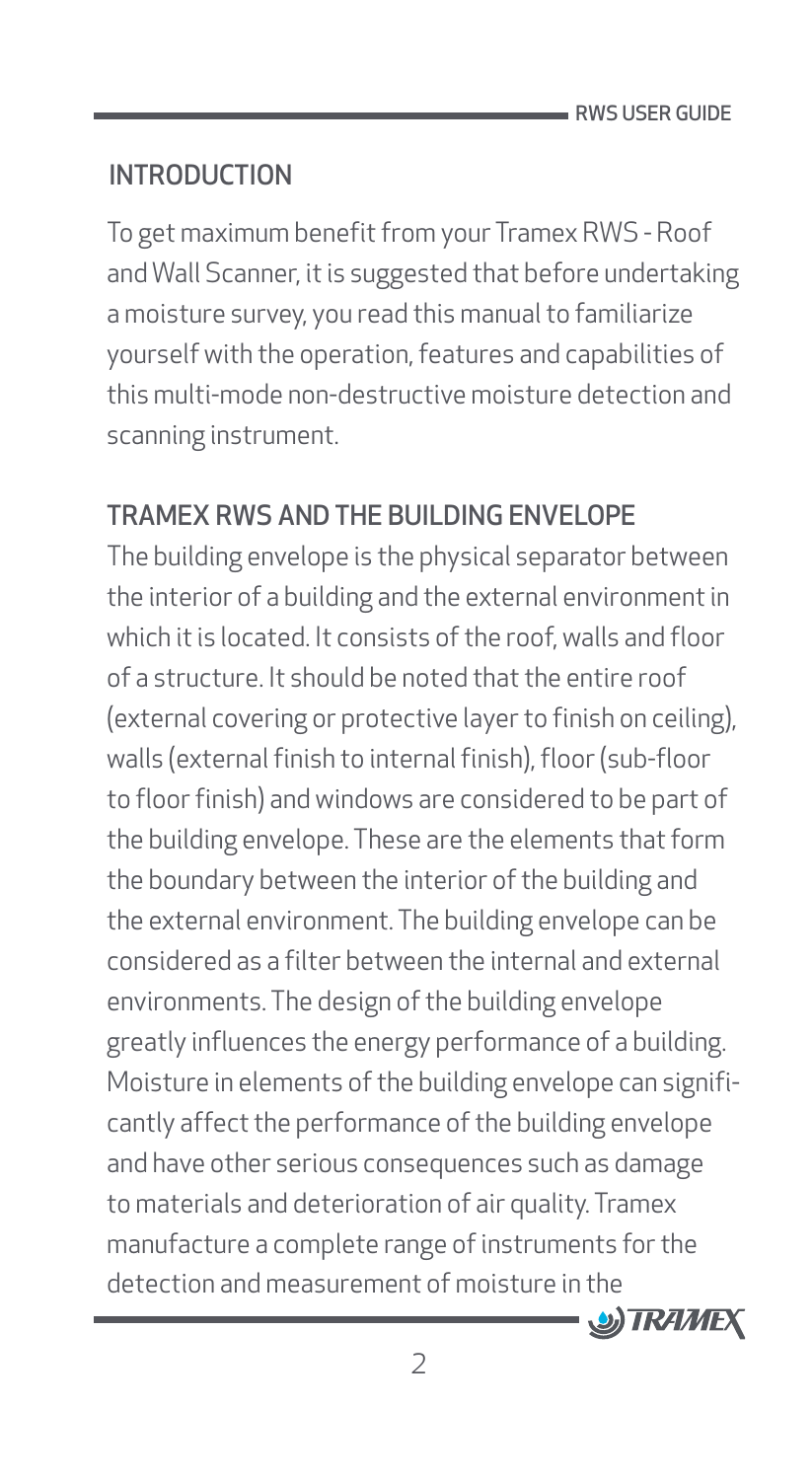# <span id="page-2-0"></span>**INTRODUCTION**

To get maximum benefit from your Tramex RWS - Roof and Wall Scanner, it is suggested that before undertaking a moisture survey, you read this manual to familiarize yourself with the operation, features and capabilities of this multi-mode non-destructive moisture detection and scanning instrument.

# TRAMEX RWS AND THE BUILDING ENVELOPE

The building envelope is the physical separator between the interior of a building and the external environment in which it is located. It consists of the roof, walls and floor of a structure. It should be noted that the entire roof (external covering or protective layer to finish on ceiling), walls (external finish to internal finish), floor (sub-floor to floor finish) and windows are considered to be part of the building envelope. These are the elements that form the boundary between the interior of the building and the external environment. The building envelope can be considered as a filter between the internal and external environments. The design of the building envelope greatly influences the energy performance of a building. Moisture in elements of the building envelope can significantly affect the performance of the building envelope and have other serious consequences such as damage to materials and deterioration of air quality. Tramex manufacture a complete range of instruments for the detection and measurement of moisture in the

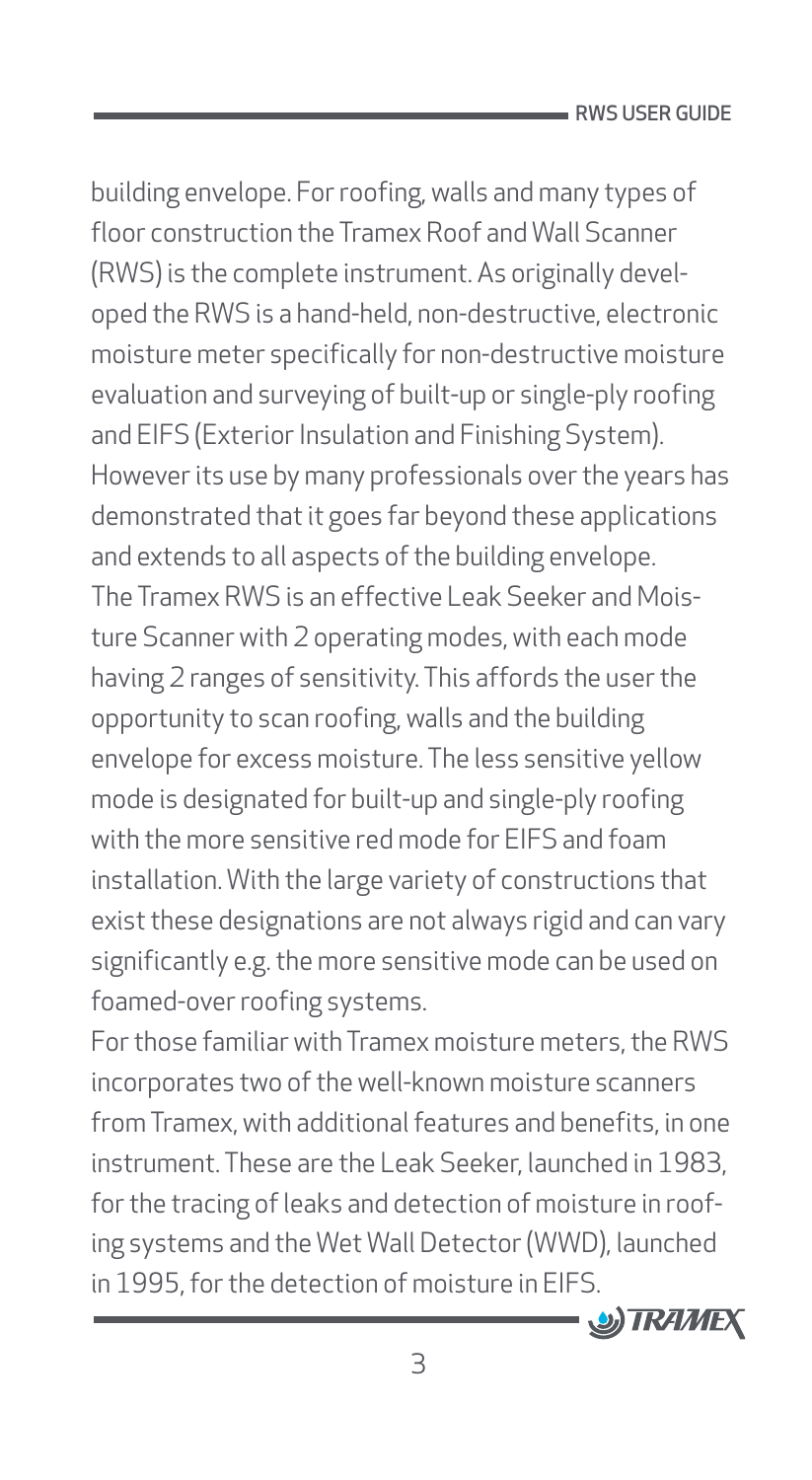building envelope. For roofing, walls and many types of floor construction the Tramex Roof and Wall Scanner (RWS) is the complete instrument. As originally developed the RWS is a hand-held, non-destructive, electronic moisture meter specifically for non-destructive moisture evaluation and surveying of built-up or single-ply roofing and EIFS (Exterior Insulation and Finishing System). However its use by many professionals over the years has demonstrated that it goes far beyond these applications and extends to all aspects of the building envelope. The Tramex RWS is an effective Leak Seeker and Moisture Scanner with 2 operating modes, with each mode having 2 ranges of sensitivity. This affords the user the opportunity to scan roofing, walls and the building envelope for excess moisture. The less sensitive yellow mode is designated for built-up and single-ply roofing with the more sensitive red mode for EIFS and foam installation. With the large variety of constructions that exist these designations are not always rigid and can vary significantly e.g. the more sensitive mode can be used on foamed-over roofing systems.

For those familiar with Tramex moisture meters, the RWS incorporates two of the well-known moisture scanners from Tramex, with additional features and benefits, in one instrument. These are the Leak Seeker, launched in 1983, for the tracing of leaks and detection of moisture in roofing systems and the Wet Wall Detector (WWD), launched in 1995, for the detection of moisture in EIFS.

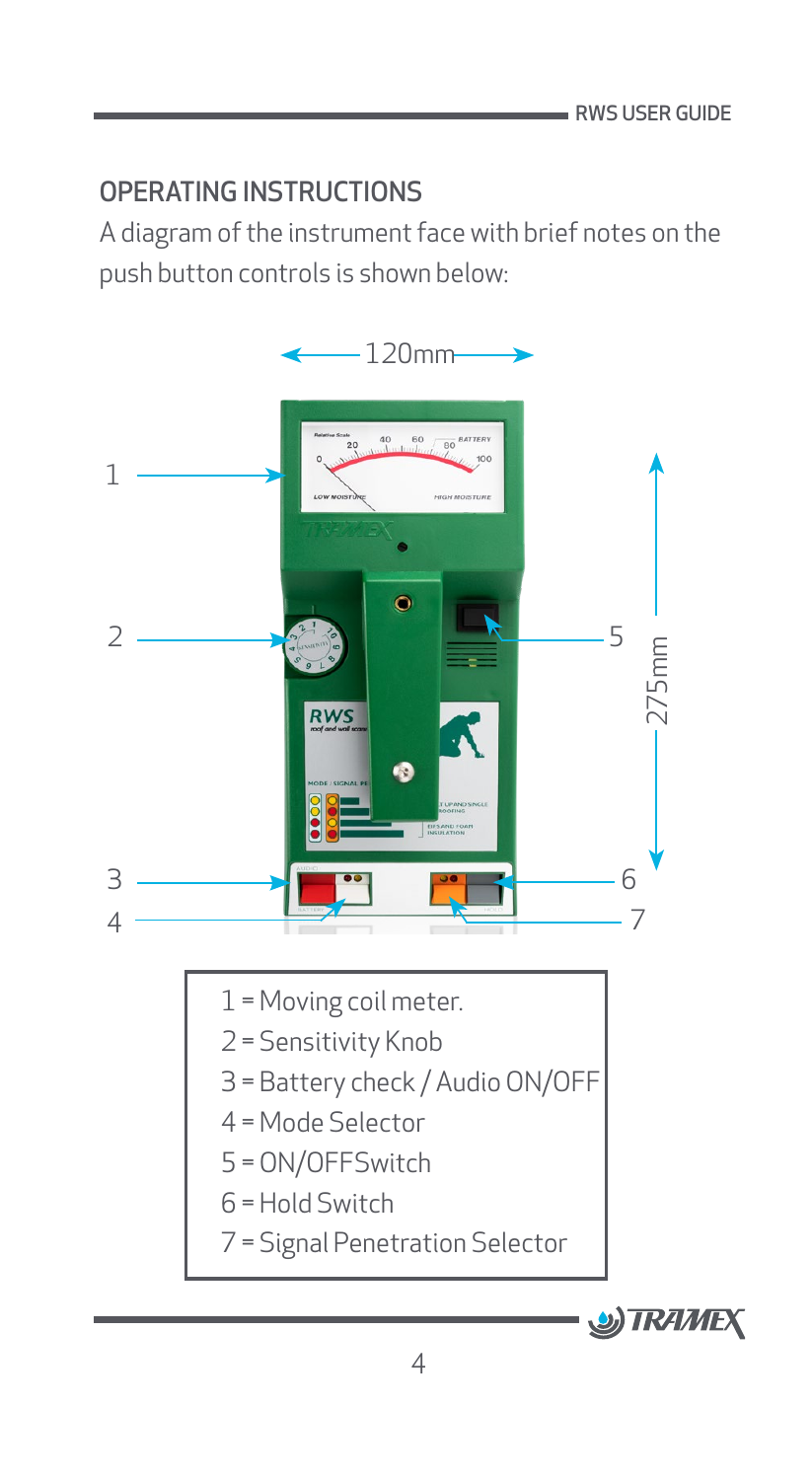#### <span id="page-4-0"></span>OPERATING INSTRUCTIONS

A diagram of the instrument face with brief notes on the push button controls is shown below:

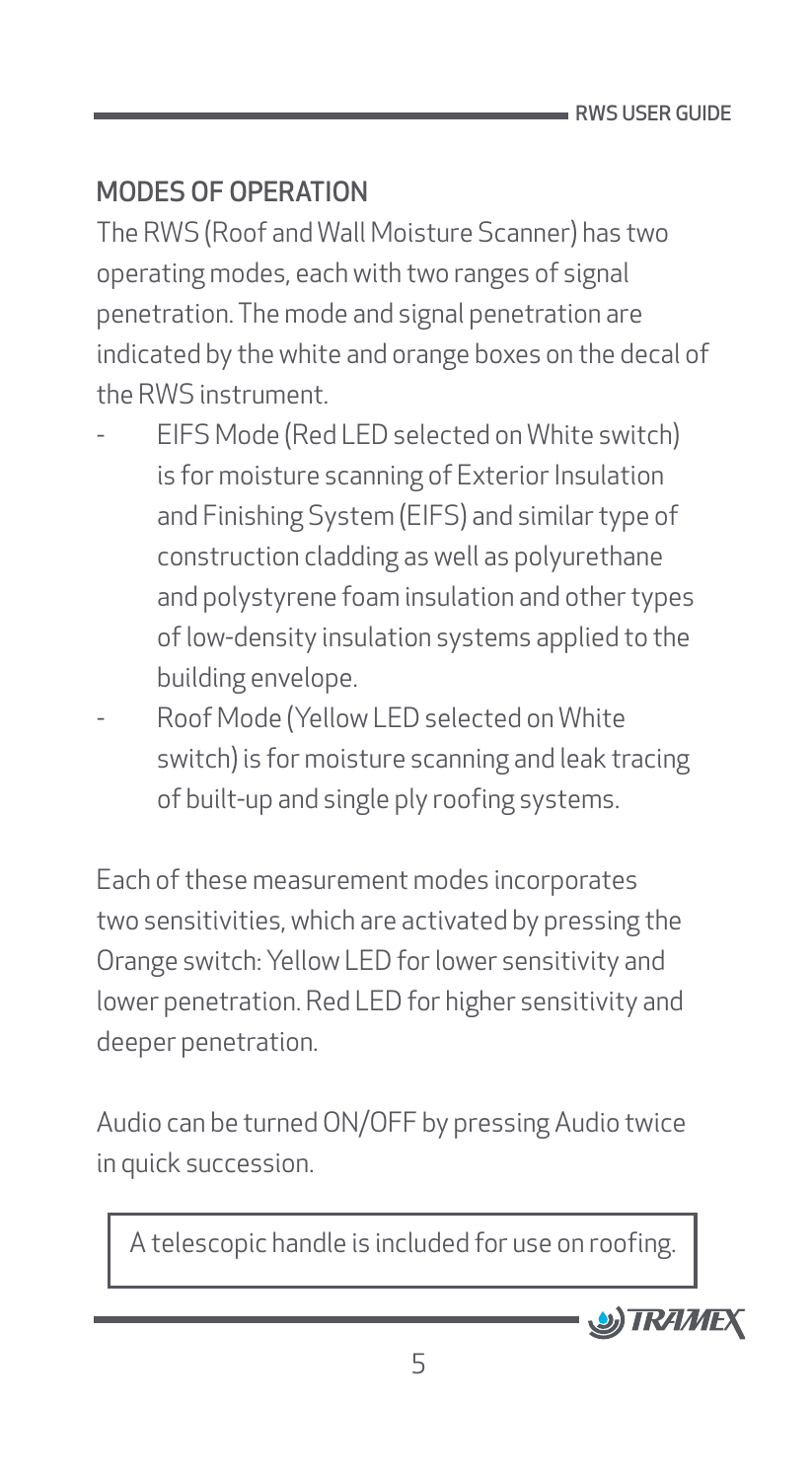# <span id="page-5-0"></span>MODES OF OPERATION

The RWS (Roof and Wall Moisture Scanner) has two operating modes, each with two ranges of signal penetration. The mode and signal penetration are indicated by the white and orange boxes on the decal of the RWS instrument.

- ƕ EIFS Mode (Red LED selected on White switch) is for moisture scanning of Exterior Insulation and Finishing System (EIFS) and similar type of construction cladding as well as polyurethane and polystyrene foam insulation and other types of low-density insulation systems applied to the building envelope.
- ƕ Roof Mode (Yellow LED selected on White switch) is for moisture scanning and leak tracing of built-up and single ply roofing systems.

Each of these measurement modes incorporates two sensitivities, which are activated by pressing the Orange switch: Yellow LED for lower sensitivity and lower penetration. Red LED for higher sensitivity and deeper penetration.

Audio can be turned ON/OFF by pressing Audio twice in quick succession.

A telescopic handle is included for use on roofing.

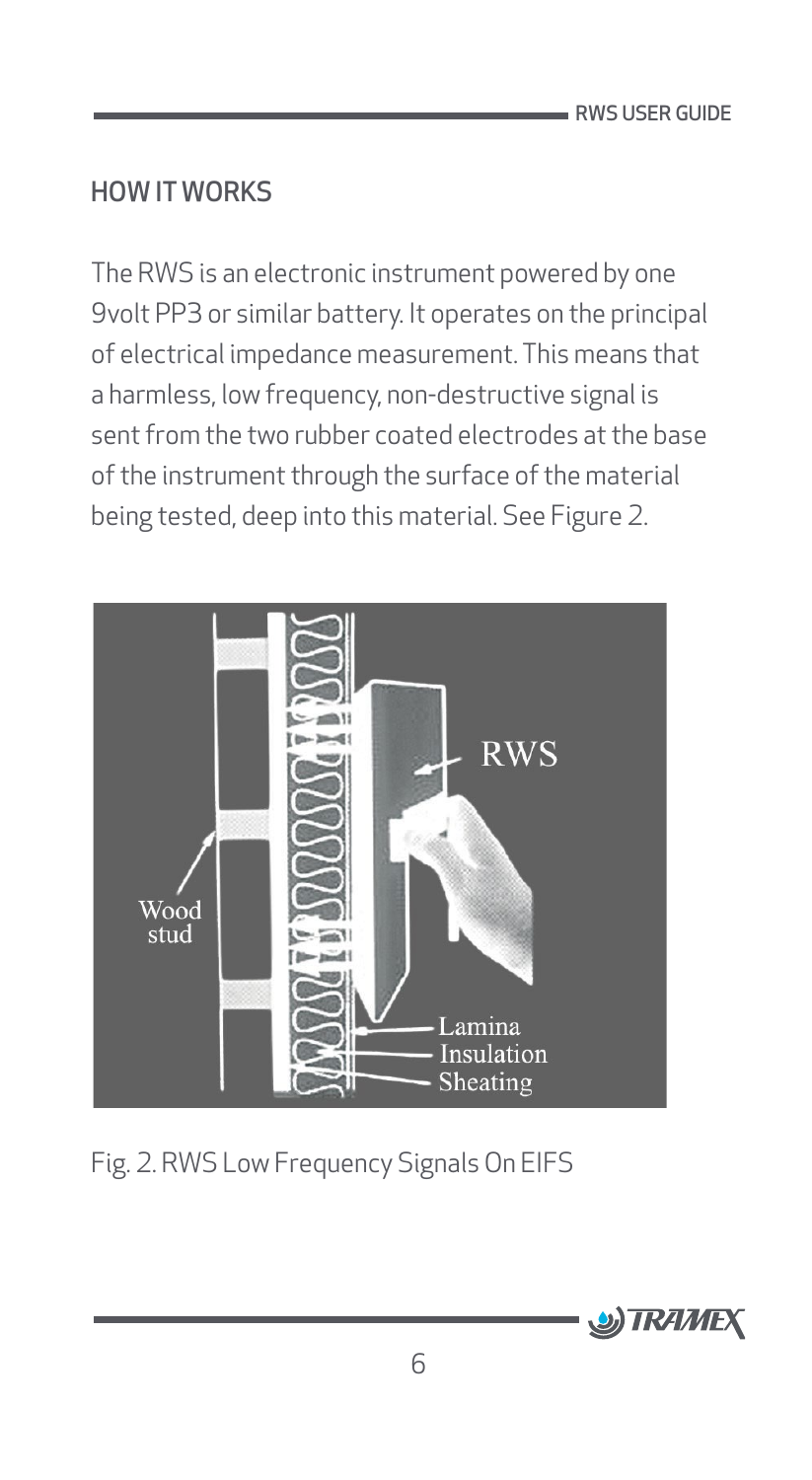#### <span id="page-6-0"></span>HOW IT WORKS

The RWS is an electronic instrument powered by one 9volt PP3 or similar battery. It operates on the principal of electrical impedance measurement. This means that a harmless, low frequency, non-destructive signal is sent from the two rubber coated electrodes at the base of the instrument through the surface of the material being tested, deep into this material. See Figure 2.



Fig. 2. RWS Low Frequency Signals On EIFS

![](_page_6_Picture_5.jpeg)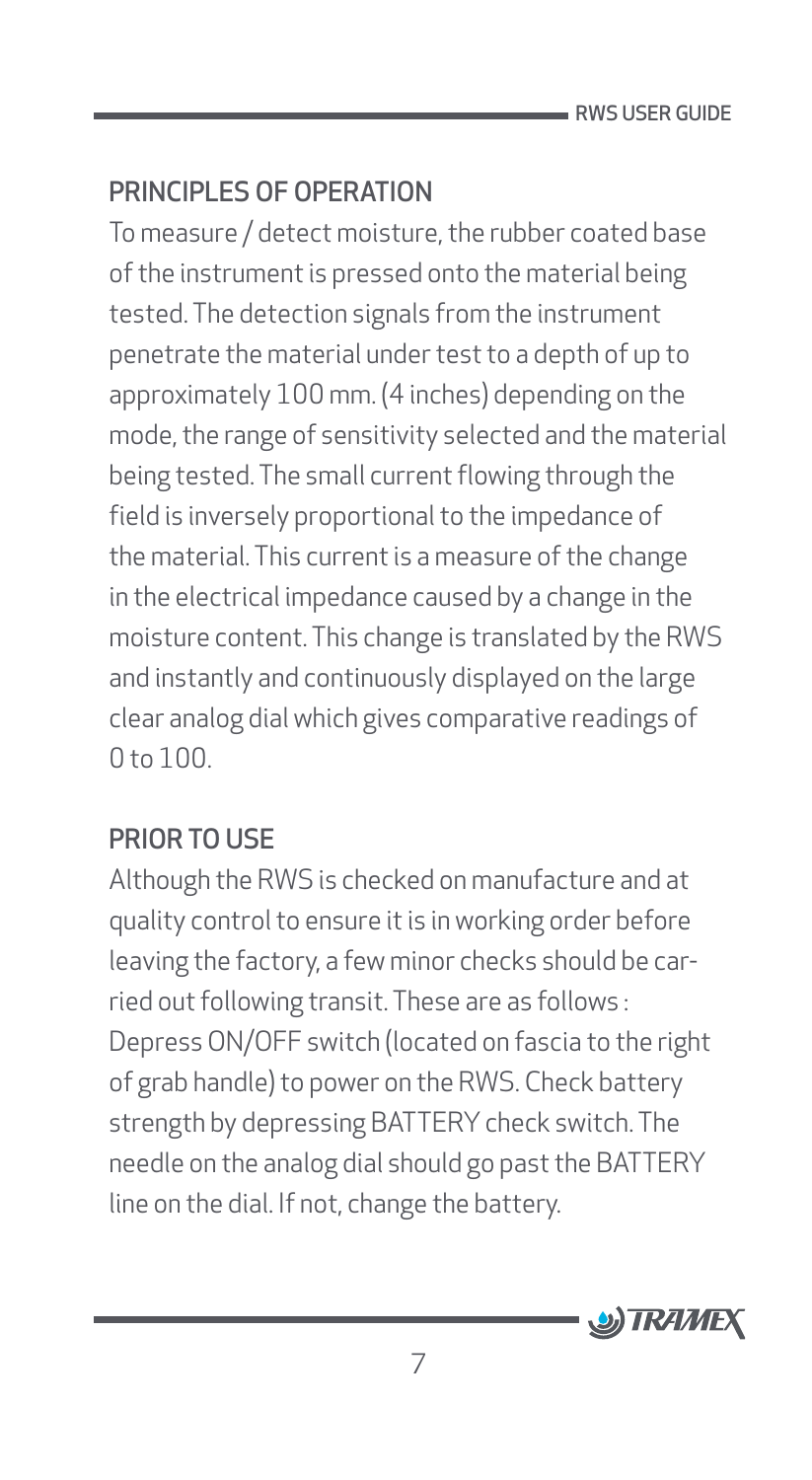#### <span id="page-7-0"></span>PRINCIPLES OF OPERATION

To measure / detect moisture, the rubber coated base of the instrument is pressed onto the material being tested. The detection signals from the instrument penetrate the material under test to a depth of up to approximately 100 mm. (4 inches) depending on the mode, the range of sensitivity selected and the material being tested. The small current flowing through the field is inversely proportional to the impedance of the material. This current is a measure of the change in the electrical impedance caused by a change in the moisture content. This change is translated by the RWS and instantly and continuously displayed on the large clear analog dial which gives comparative readings of 0 to 100.

#### PRIOR TO USE

Although the RWS is checked on manufacture and at quality control to ensure it is in working order before leaving the factory, a few minor checks should be carried out following transit. These are as follows : Depress ON/OFF switch (located on fascia to the right of grab handle) to power on the RWS. Check battery strength by depressing BATTERY check switch. The needle on the analog dial should go past the BATTERY line on the dial. If not, change the battery.

![](_page_7_Picture_5.jpeg)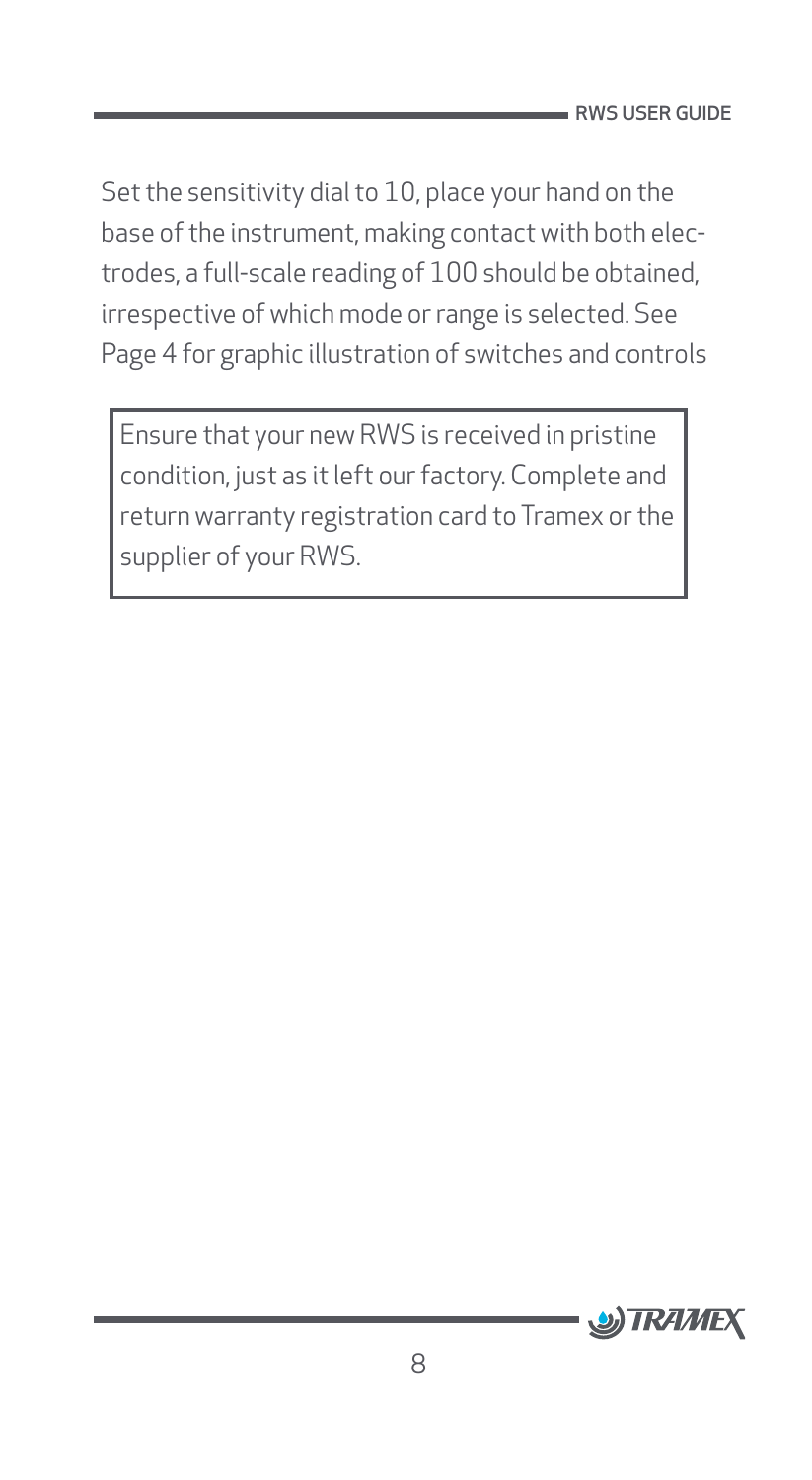Set the sensitivity dial to 10, place your hand on the base of the instrument, making contact with both electrodes, a full-scale reading of 100 should be obtained, irrespective of which mode or range is selected. See Page 4 for graphic illustration of switches and controls

Ensure that your new RWS is received in pristine condition, just as it left our factory. Complete and return warranty registration card to Tramex or the supplier of your RWS.

![](_page_8_Picture_3.jpeg)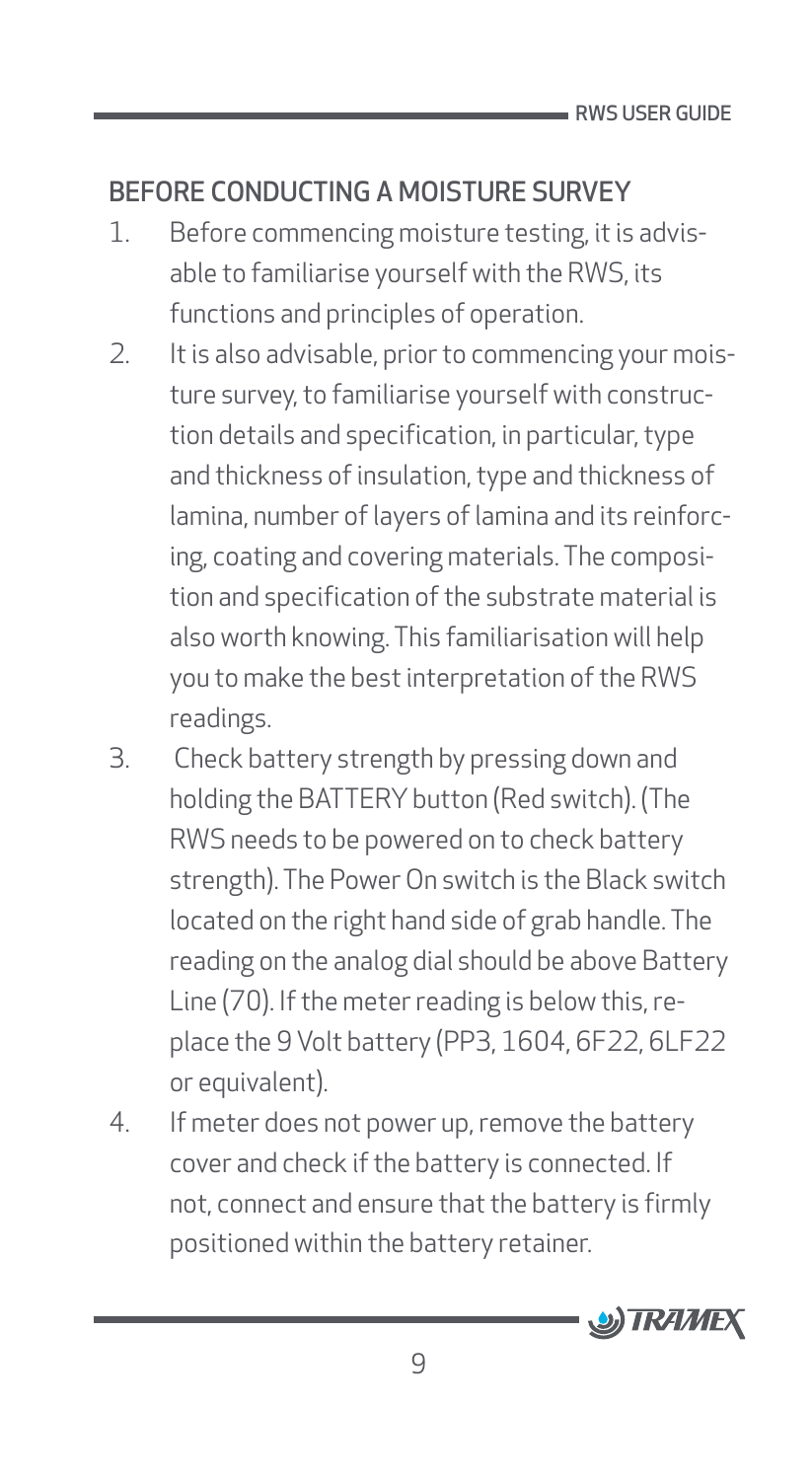# <span id="page-9-0"></span>BEFORE CONDUCTING A MOISTURE SURVEY

- 1. Before commencing moisture testing, it is advisable to familiarise yourself with the RWS, its functions and principles of operation.
- 2. It is also advisable, prior to commencing your moisture survey, to familiarise yourself with construction details and specification, in particular, type and thickness of insulation, type and thickness of lamina, number of layers of lamina and its reinforcing, coating and covering materials. The composition and specification of the substrate material is also worth knowing. This familiarisation will help you to make the best interpretation of the RWS readings.
- 3. Check battery strength by pressing down and holding the BATTERY button (Red switch). (The RWS needs to be powered on to check battery strength). The Power On switch is the Black switch located on the right hand side of grab handle. The reading on the analog dial should be above Battery Line (70). If the meter reading is below this, replace the 9 Volt battery (PP3, 1604, 6F22, 6LF22 or equivalent).
- 4. If meter does not power up, remove the battery cover and check if the battery is connected. If not, connect and ensure that the battery is firmly positioned within the battery retainer.

![](_page_9_Picture_6.jpeg)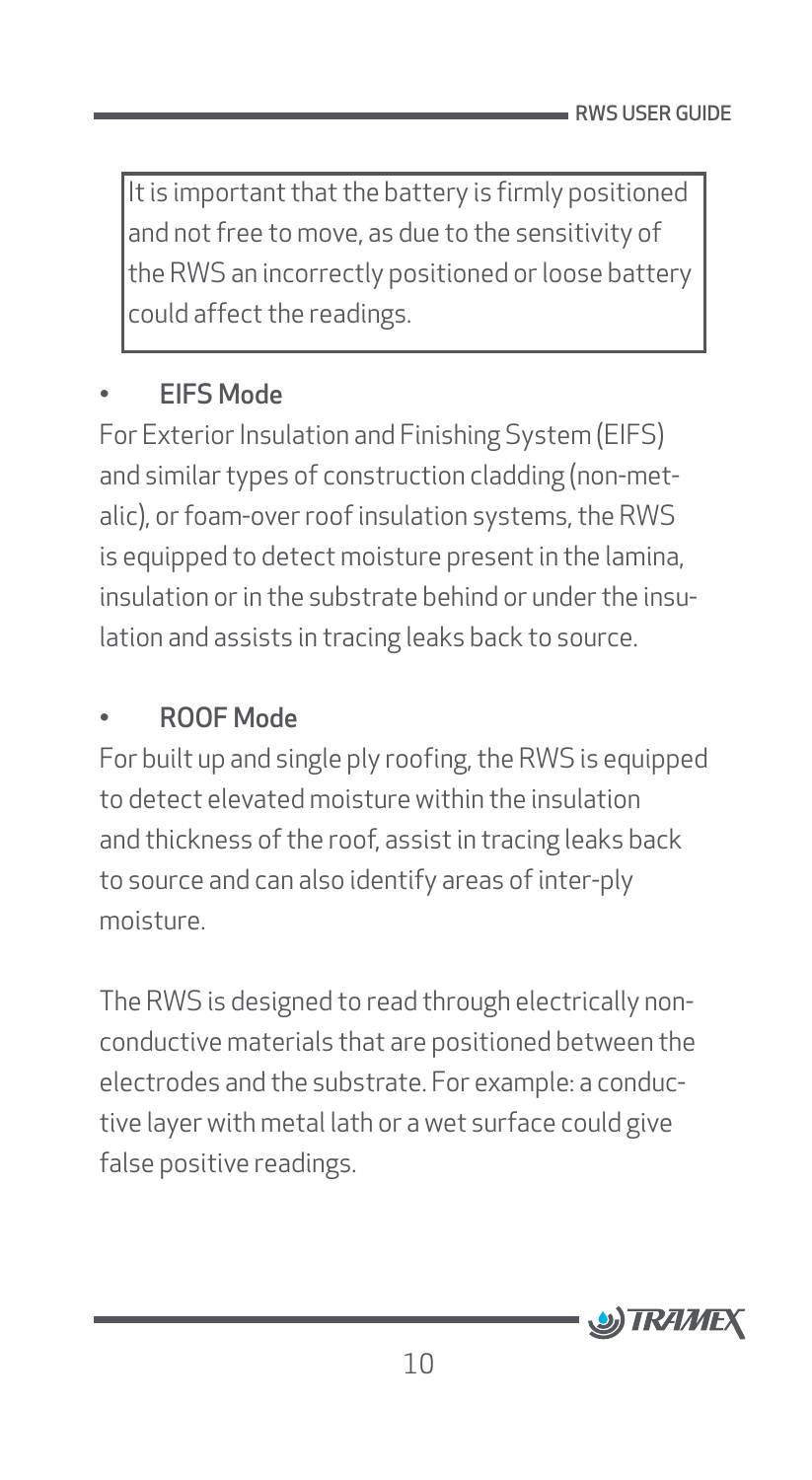It is important that the battery is firmly positioned and not free to move, as due to the sensitivity of the RWS an incorrectly positioned or loose battery could affect the readings.

#### • EIFS Mode

For Exterior Insulation and Finishing System (EIFS) and similar types of construction cladding (non-metalic), or foam-over roof insulation systems, the RWS is equipped to detect moisture present in the lamina, insulation or in the substrate behind or under the insulation and assists in tracing leaks back to source.

#### • ROOF Mode

For built up and single ply roofing, the RWS is equipped to detect elevated moisture within the insulation and thickness of the roof, assist in tracing leaks back to source and can also identify areas of inter-ply moisture.

The RWS is designed to read through electrically nonconductive materials that are positioned between the electrodes and the substrate. For example: a conductive layer with metal lath or a wet surface could give false positive readings.

![](_page_10_Picture_7.jpeg)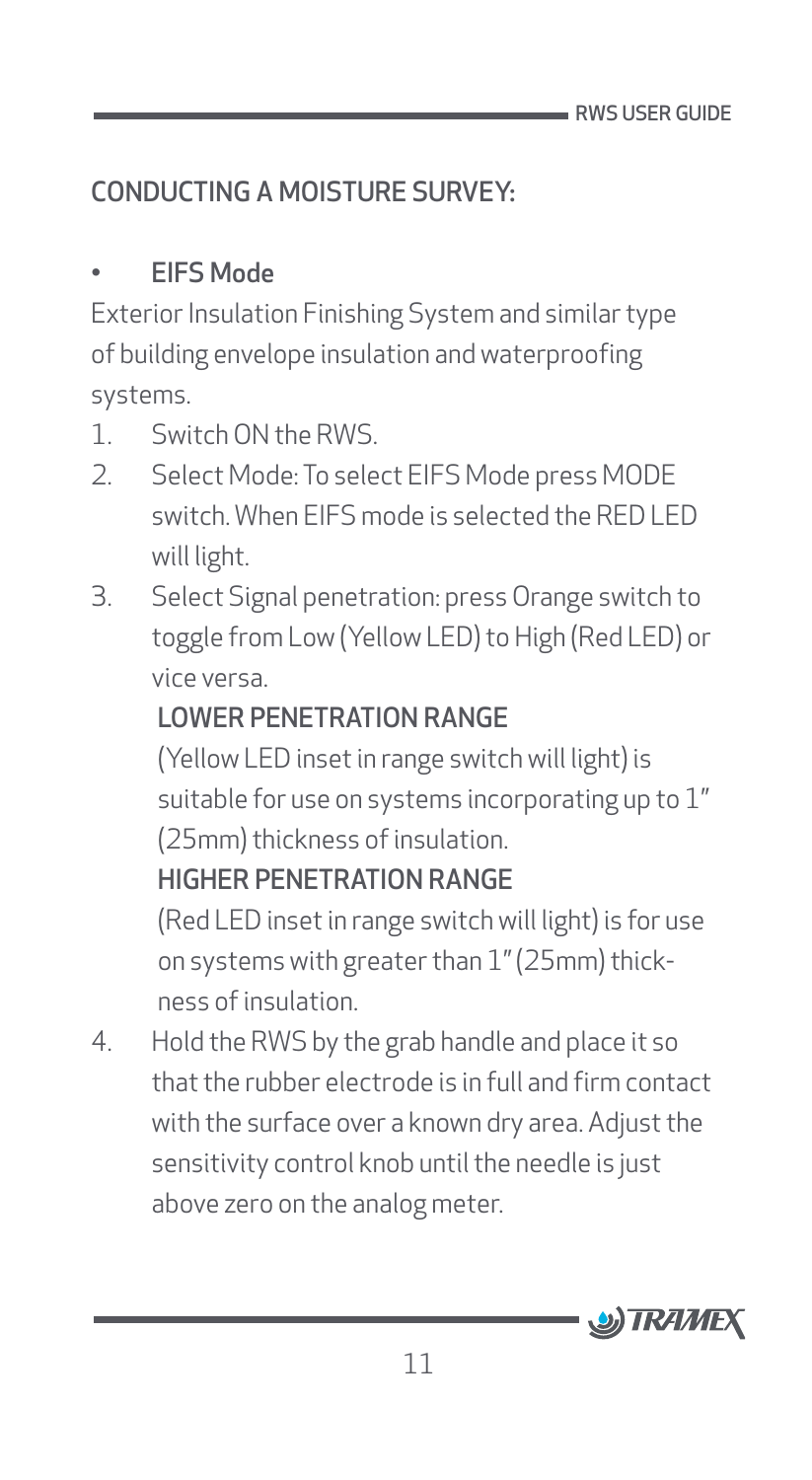# <span id="page-11-0"></span>CONDUCTING A MOISTURE SURVEY:

#### • EIFS Mode

Exterior Insulation Finishing System and similar type of building envelope insulation and waterproofing systems.

- 1 Switch ON the RWS
- 2. Select Mode: To select EIFS Mode press MODE switch. When EIFS mode is selected the RED LED will light.
- 3. Select Signal penetration: press Orange switch to toggle from Low (Yellow LED) to High (Red LED) or vice versa.

### LOWER PENETRATION RANGE

(Yellow LED inset in range switch will light) is suitable for use on systems incorporating up to 1" (25mm) thickness of insulation.

#### HIGHER PENETRATION RANGE

(Red LED inset in range switch will light) is for use on systems with greater than 1" (25mm) thickness of insulation.

4. Hold the RWS by the grab handle and place it so that the rubber electrode is in full and firm contact with the surface over a known dry area. Adjust the sensitivity control knob until the needle is just above zero on the analog meter.

![](_page_11_Picture_12.jpeg)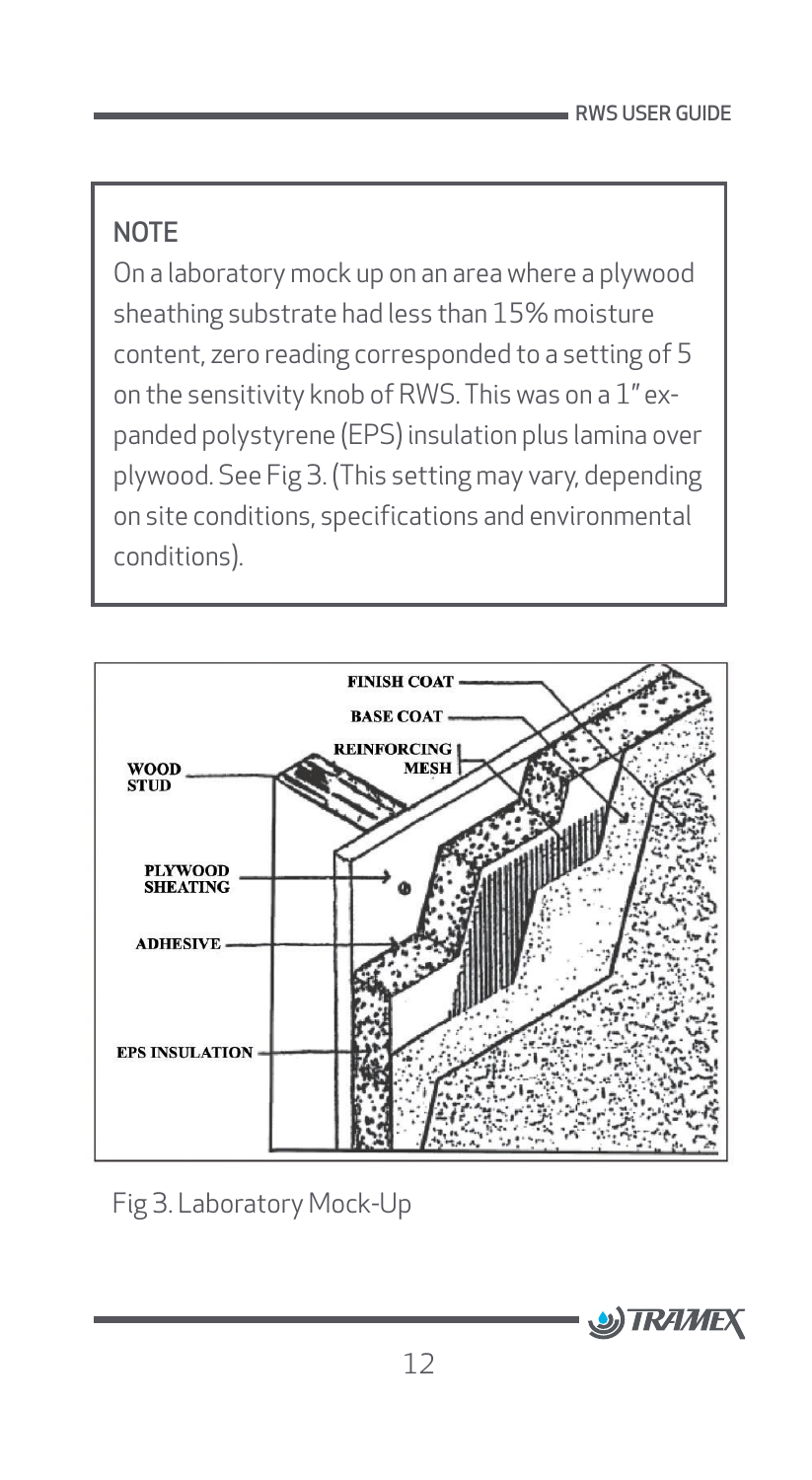### **NOTE**

On a laboratory mock up on an area where a plywood sheathing substrate had less than 15% moisture content, zero reading corresponded to a setting of 5 on the sensitivity knob of RWS. This was on a 1" expanded polystyrene (EPS) insulation plus lamina over plywood. See Fig 3. (This setting may vary, depending on site conditions, specifications and environmental conditions).

![](_page_12_Figure_3.jpeg)

Fig 3. Laboratory Mock-Up

![](_page_12_Picture_5.jpeg)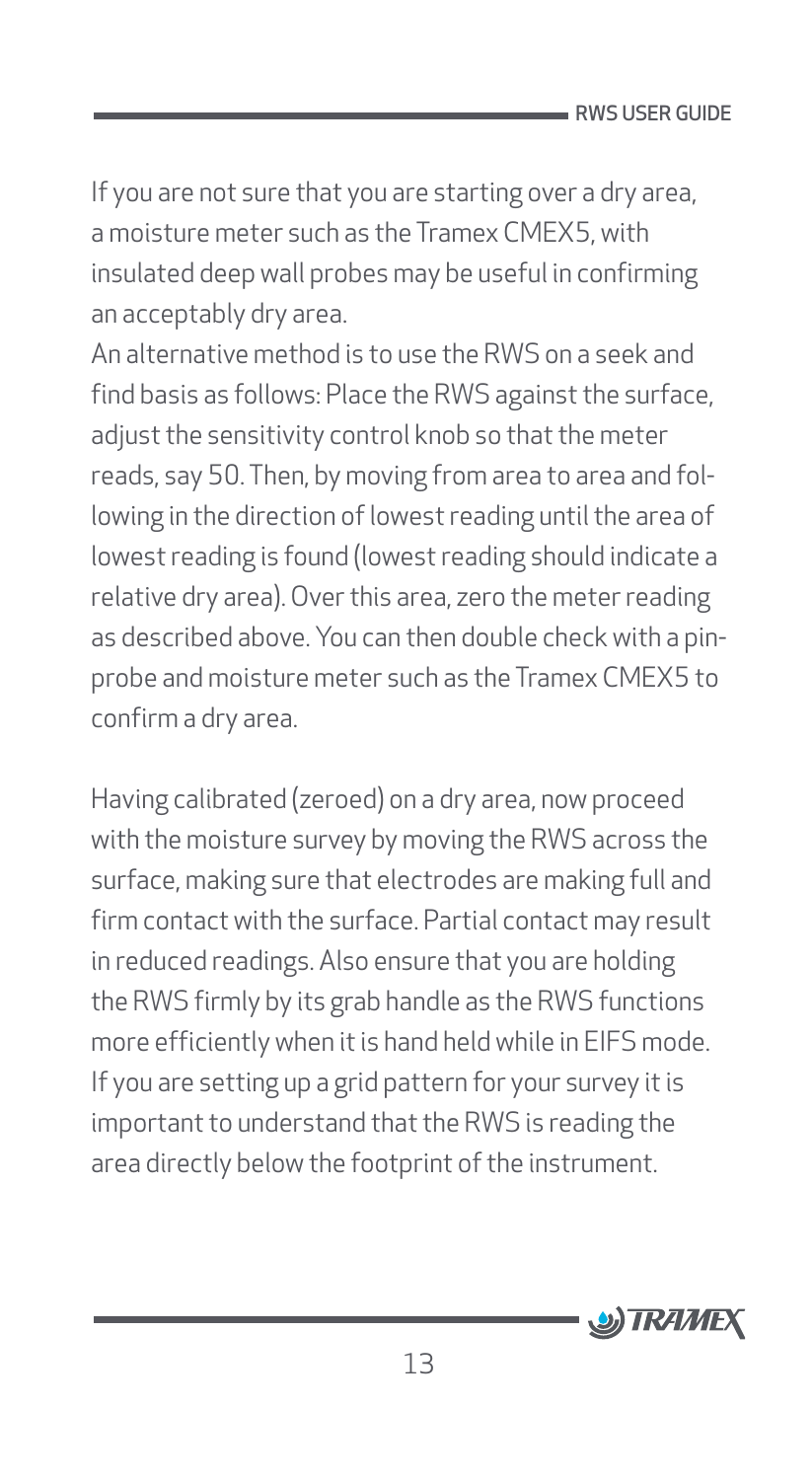If you are not sure that you are starting over a dry area, a moisture meter such as the Tramex CMEX5, with insulated deep wall probes may be useful in confirming an acceptably dry area.

An alternative method is to use the RWS on a seek and find basis as follows: Place the RWS against the surface, adjust the sensitivity control knob so that the meter reads, say 50. Then, by moving from area to area and following in the direction of lowest reading until the area of lowest reading is found (lowest reading should indicate a relative dry area). Over this area, zero the meter reading as described above. You can then double check with a pinprobe and moisture meter such as the Tramex CMEX5 to confirm a dry area.

Having calibrated (zeroed) on a dry area, now proceed with the moisture survey by moving the RWS across the surface, making sure that electrodes are making full and firm contact with the surface. Partial contact may result in reduced readings. Also ensure that you are holding the RWS firmly by its grab handle as the RWS functions more efficiently when it is hand held while in EIFS mode. If you are setting up a grid pattern for your survey it is important to understand that the RWS is reading the area directly below the footprint of the instrument.

![](_page_13_Picture_4.jpeg)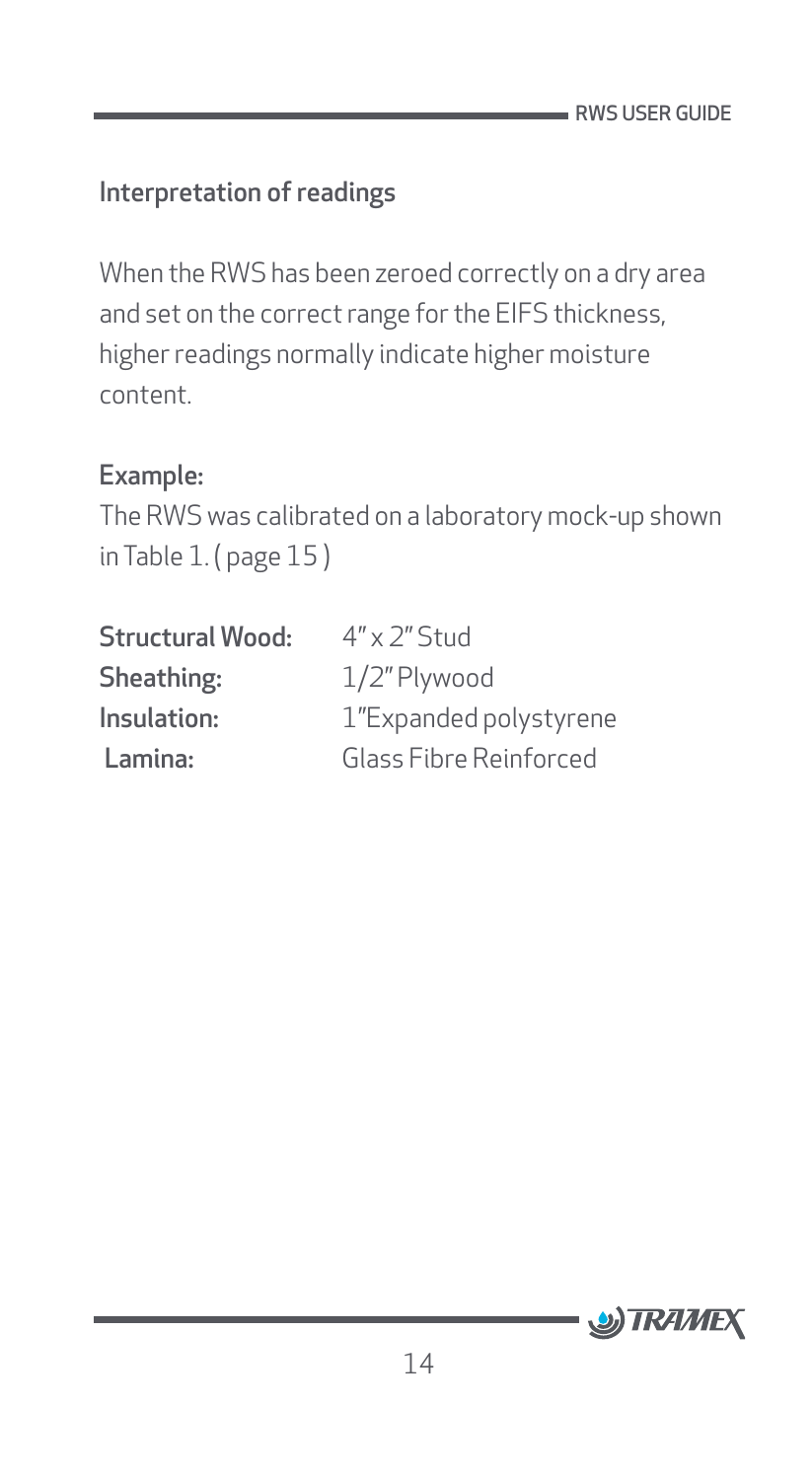#### <span id="page-14-0"></span>Interpretation of readings

When the RWS has been zeroed correctly on a dry area and set on the correct range for the EIFS thickness, higher readings normally indicate higher moisture content.

#### Example:

The RWS was calibrated on a laboratory mock-up shown in Table 1. ( page 15 )

| <b>Structural Wood:</b> | $4'' \times 2''$ Stud  |
|-------------------------|------------------------|
| Sheathing:              | 1/2" Plywood           |
| Insulation:             | 1"Expanded polystyrene |
| Lamina:                 | Glass Fibre Reinforced |

![](_page_14_Picture_6.jpeg)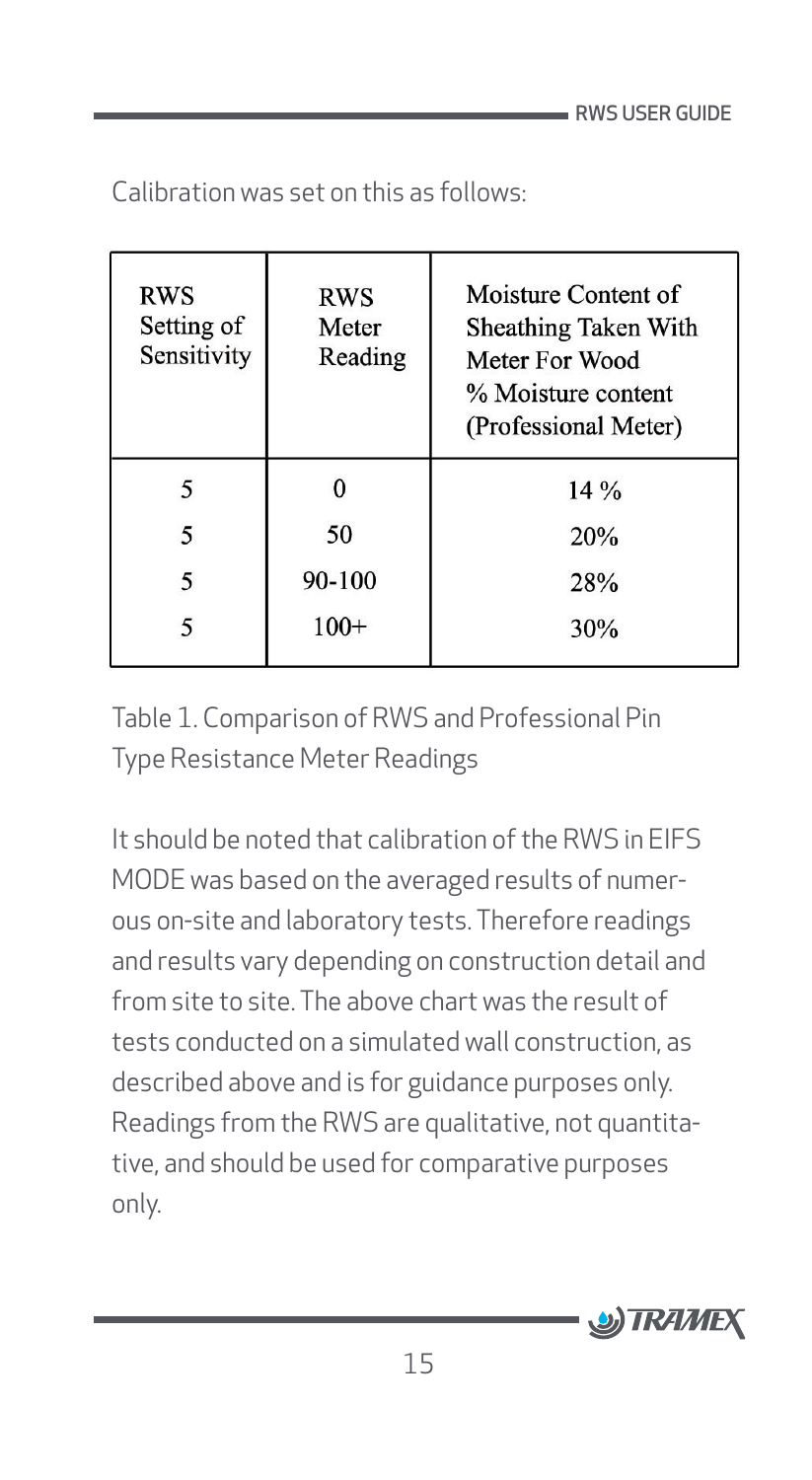| RWS<br>Setting of<br>Sensitivity | <b>RWS</b><br>Meter<br>Reading | Moisture Content of<br>Sheathing Taken With<br>Meter For Wood<br>% Moisture content<br>(Professional Meter) |
|----------------------------------|--------------------------------|-------------------------------------------------------------------------------------------------------------|
|                                  |                                | 14%                                                                                                         |
| 5                                | 50                             | 20%                                                                                                         |
| 5                                | 90-100                         | 28%                                                                                                         |
|                                  | $100+$                         | 30%                                                                                                         |

Calibration was set on this as follows:

Table 1. Comparison of RWS and Professional Pin Type Resistance Meter Readings

It should be noted that calibration of the RWS in EIFS MODE was based on the averaged results of numerous on-site and laboratory tests. Therefore readings and results vary depending on construction detail and from site to site. The above chart was the result of tests conducted on a simulated wall construction, as described above and is for guidance purposes only. Readings from the RWS are qualitative, not quantitative, and should be used for comparative purposes only.

![](_page_15_Picture_5.jpeg)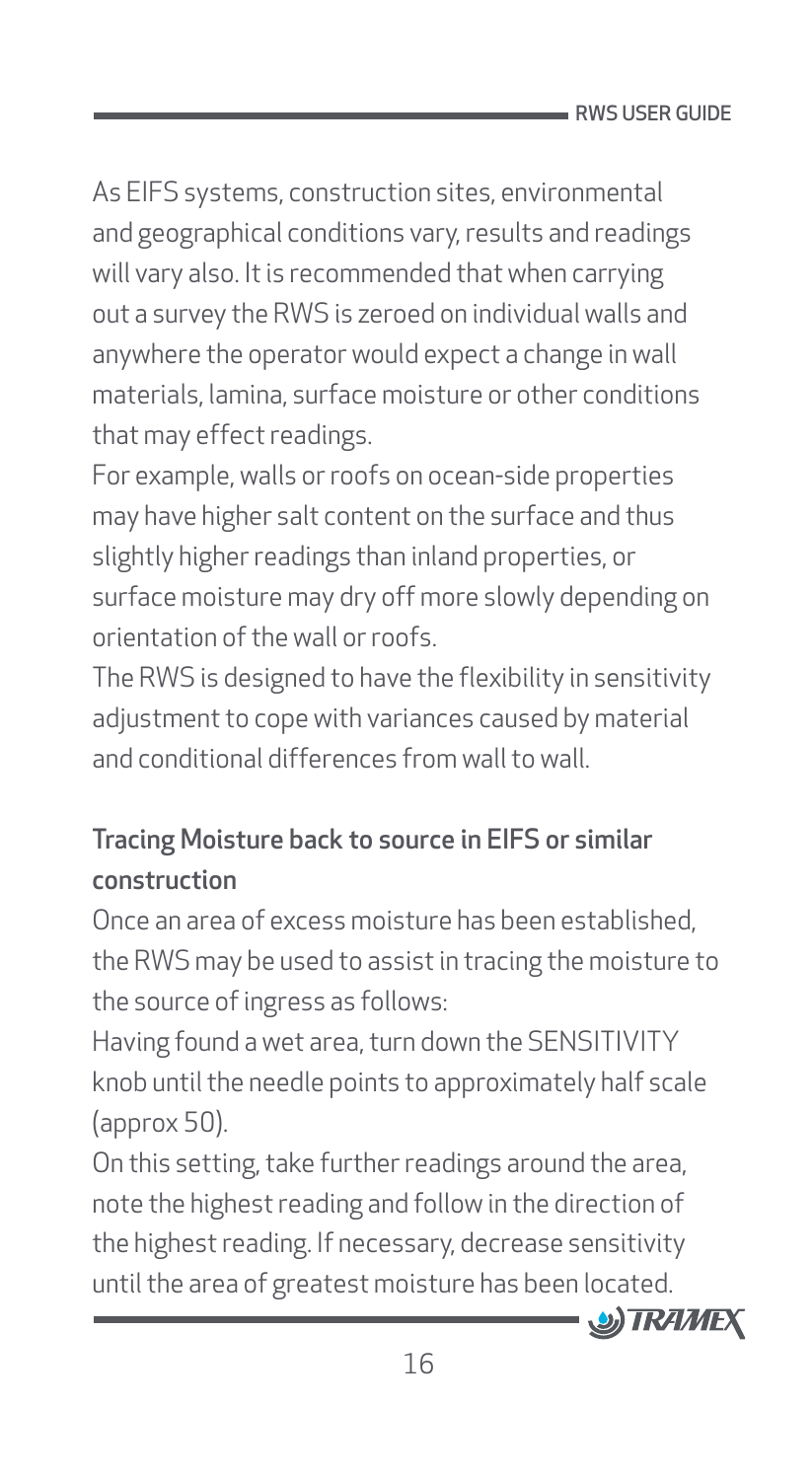<span id="page-16-0"></span>As EIFS systems, construction sites, environmental and geographical conditions vary, results and readings will vary also. It is recommended that when carrying out a survey the RWS is zeroed on individual walls and anywhere the operator would expect a change in wall materials, lamina, surface moisture or other conditions that may effect readings.

For example, walls or roofs on ocean-side properties may have higher salt content on the surface and thus slightly higher readings than inland properties, or surface moisture may dry off more slowly depending on orientation of the wall or roofs.

The RWS is designed to have the flexibility in sensitivity adjustment to cope with variances caused by material and conditional differences from wall to wall.

# Tracing Moisture back to source in EIFS or similar construction

Once an area of excess moisture has been established, the RWS may be used to assist in tracing the moisture to the source of ingress as follows:

Having found a wet area, turn down the SENSITIVITY knob until the needle points to approximately half scale (approx 50).

On this setting, take further readings around the area, note the highest reading and follow in the direction of the highest reading. If necessary, decrease sensitivity until the area of greatest moisture has been located.

![](_page_16_Picture_8.jpeg)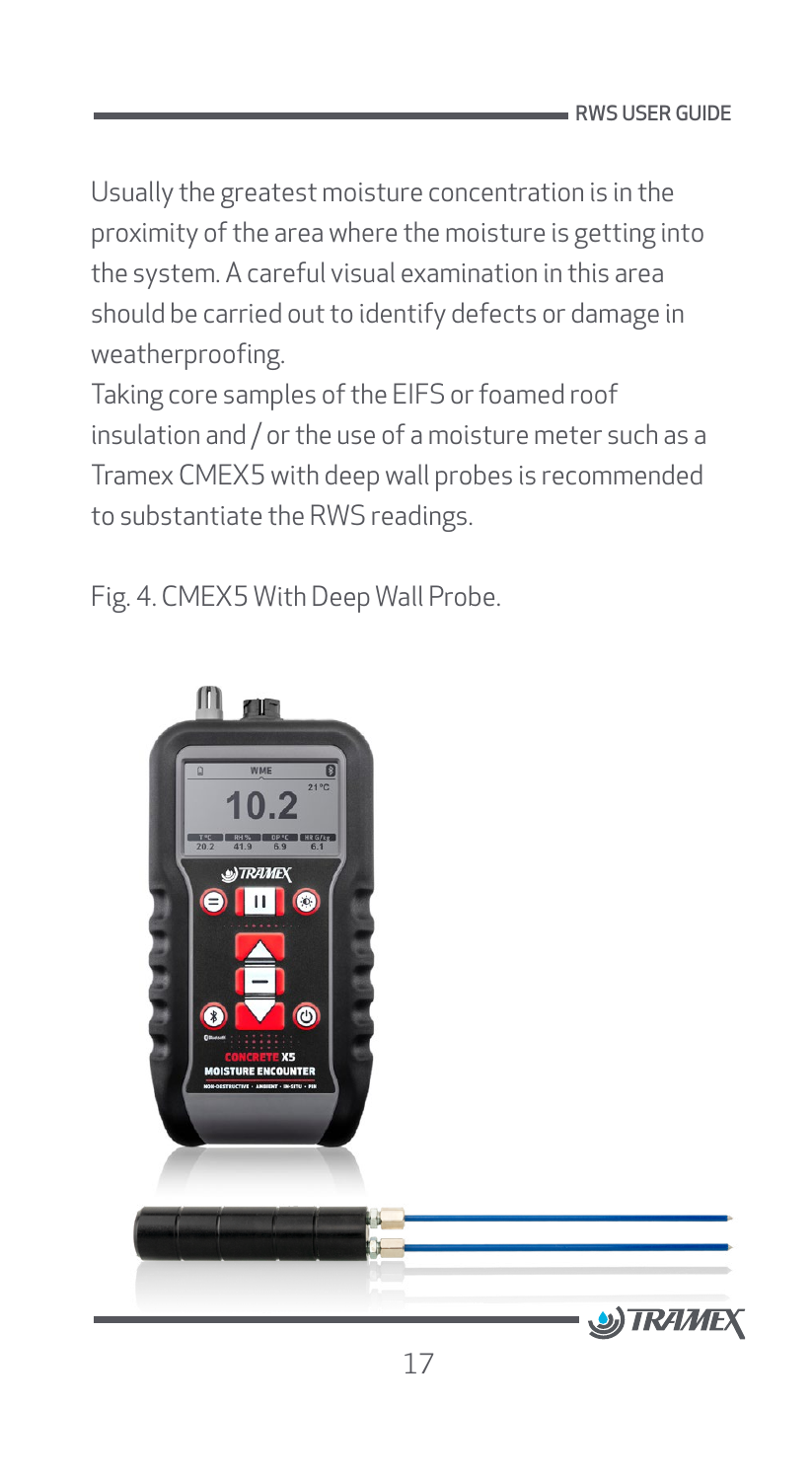Usually the greatest moisture concentration is in the proximity of the area where the moisture is getting into the system. A careful visual examination in this area should be carried out to identify defects or damage in weatherproofing.

Taking core samples of the EIFS or foamed roof insulation and / or the use of a moisture meter such as a Tramex CMEX5 with deep wall probes is recommended to substantiate the RWS readings.

Fig. 4. CMEX5 With Deep Wall Probe.

![](_page_17_Picture_4.jpeg)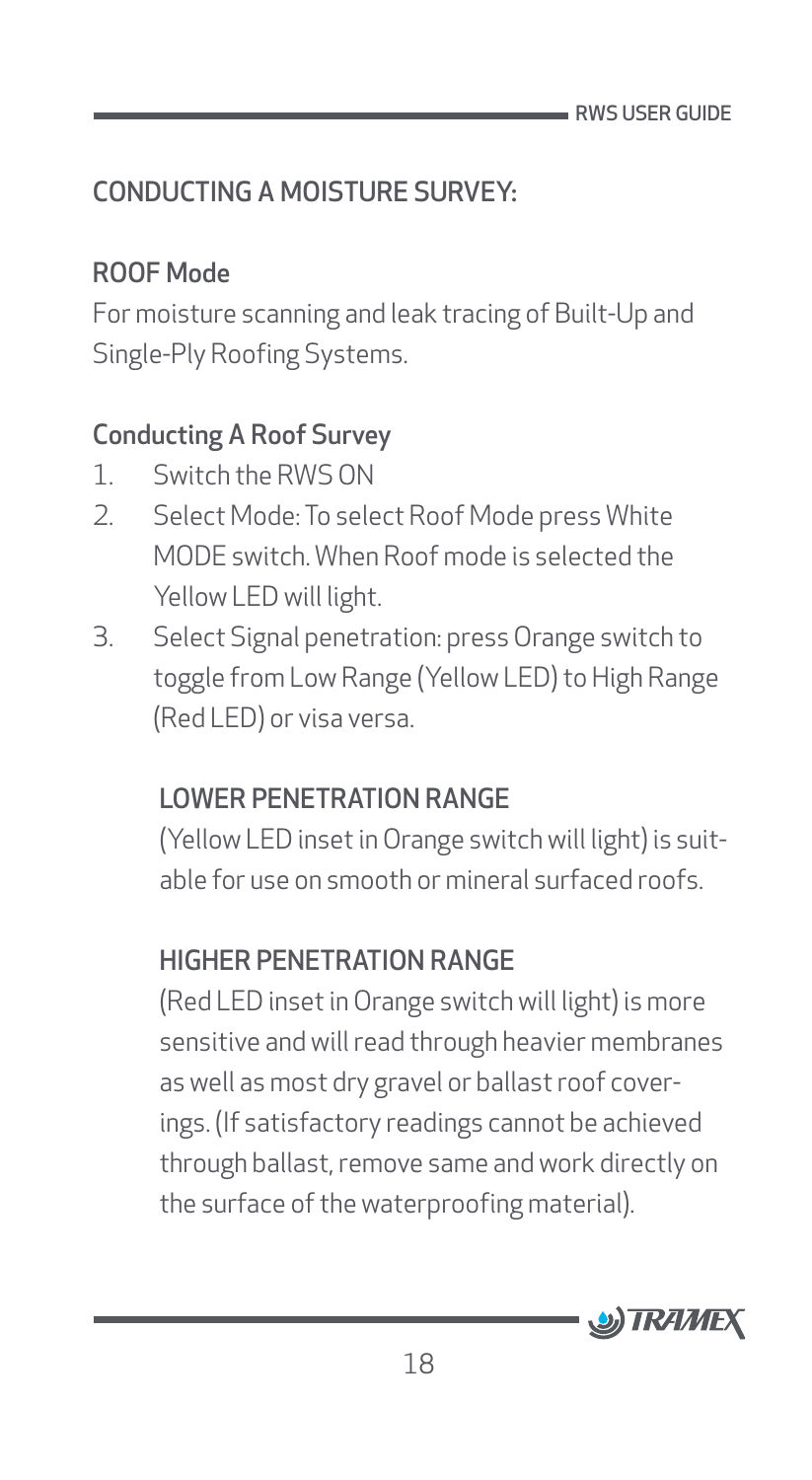# <span id="page-18-0"></span>CONDUCTING A MOISTURE SURVEY:

#### ROOF Mode

For moisture scanning and leak tracing of Built-Up and Single-Ply Roofing Systems.

#### Conducting A Roof Survey

- 1. Switch the RWS ON
- 2. Select Mode: To select Roof Mode press White MODE switch. When Roof mode is selected the Yellow LED will light.
- 3. Select Signal penetration: press Orange switch to toggle from Low Range (Yellow LED) to High Range (Red LED) or visa versa.

### LOWER PENETRATION RANGE

(Yellow LED inset in Orange switch will light) is suitable for use on smooth or mineral surfaced roofs.

# HIGHER PENETRATION RANGE

(Red LED inset in Orange switch will light) is more sensitive and will read through heavier membranes as well as most dry gravel or ballast roof coverings. (If satisfactory readings cannot be achieved through ballast, remove same and work directly on the surface of the waterproofing material).

![](_page_18_Picture_12.jpeg)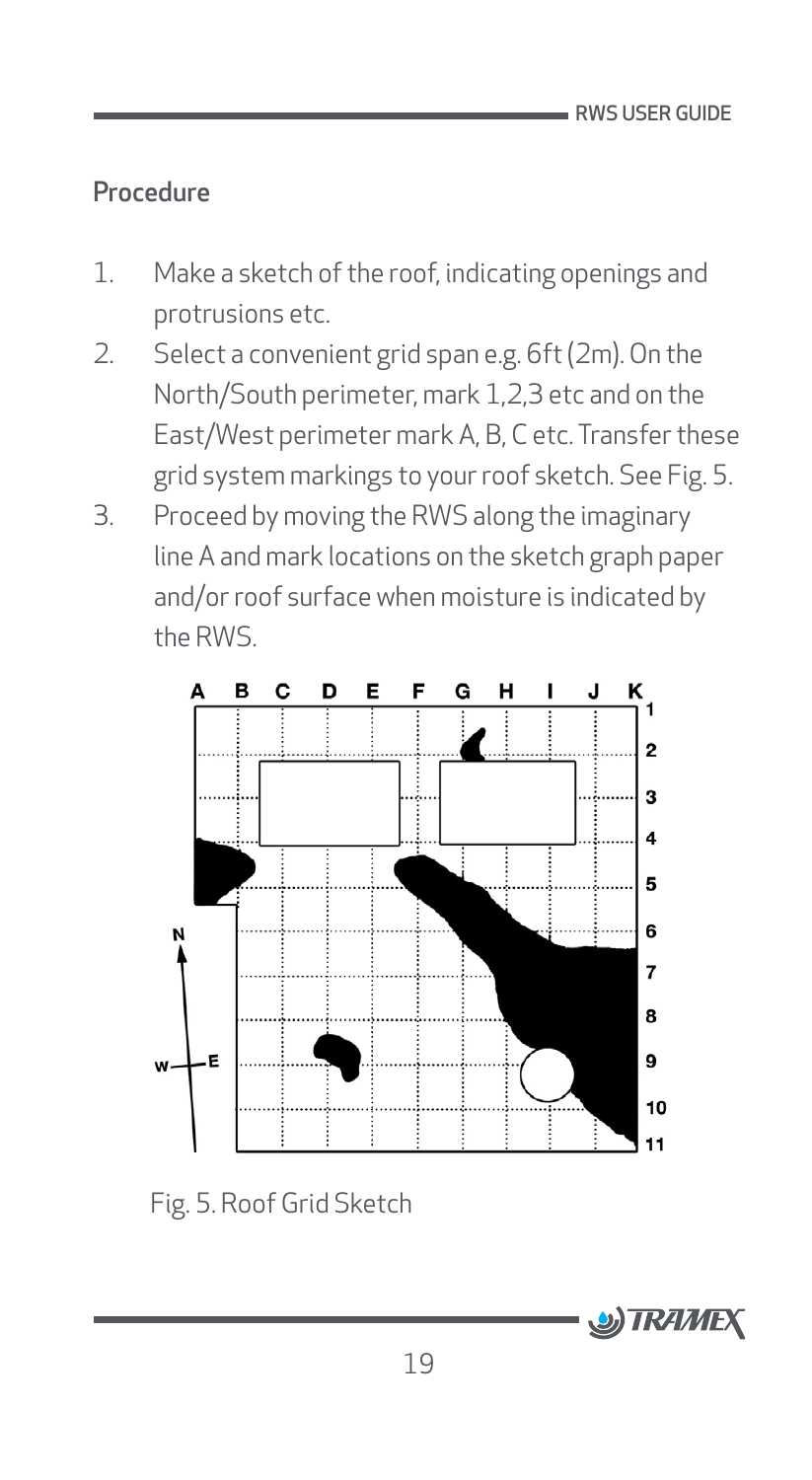#### <span id="page-19-0"></span>Procedure

- 1. Make a sketch of the roof, indicating openings and protrusions etc.
- 2. Select a convenient grid span e.g. 6ft (2m). On the North/South perimeter, mark 1,2,3 etc and on the East/West perimeter mark A, B, C etc. Transfer these grid system markings to your roof sketch. See Fig. 5.
- 3. Proceed by moving the RWS along the imaginary line A and mark locations on the sketch graph paper and/or roof surface when moisture is indicated by the RWS.

![](_page_19_Figure_5.jpeg)

Fig. 5. Roof Grid Sketch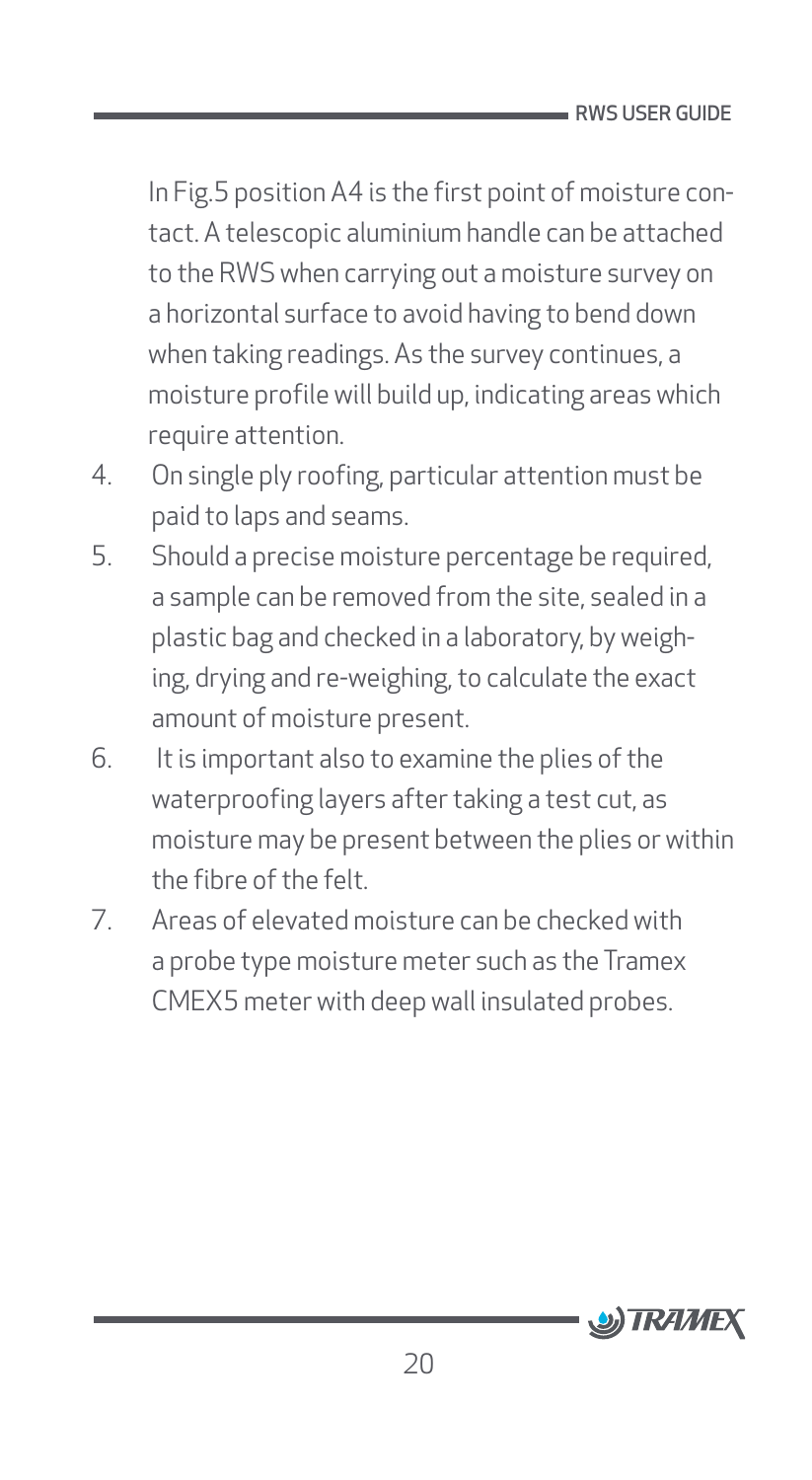In Fig.5 position A4 is the first point of moisture contact. A telescopic aluminium handle can be attached to the RWS when carrying out a moisture survey on a horizontal surface to avoid having to bend down when taking readings. As the survey continues, a moisture profile will build up, indicating areas which require attention.

- 4. On single ply roofing, particular attention must be paid to laps and seams.
- 5. Should a precise moisture percentage be required, a sample can be removed from the site, sealed in a plastic bag and checked in a laboratory, by weighing, drying and re-weighing, to calculate the exact amount of moisture present.
- 6. It is important also to examine the plies of the waterproofing layers after taking a test cut, as moisture may be present between the plies or within the fibre of the felt.
- 7. Areas of elevated moisture can be checked with a probe type moisture meter such as the Tramex CMEX5 meter with deep wall insulated probes.

![](_page_20_Picture_6.jpeg)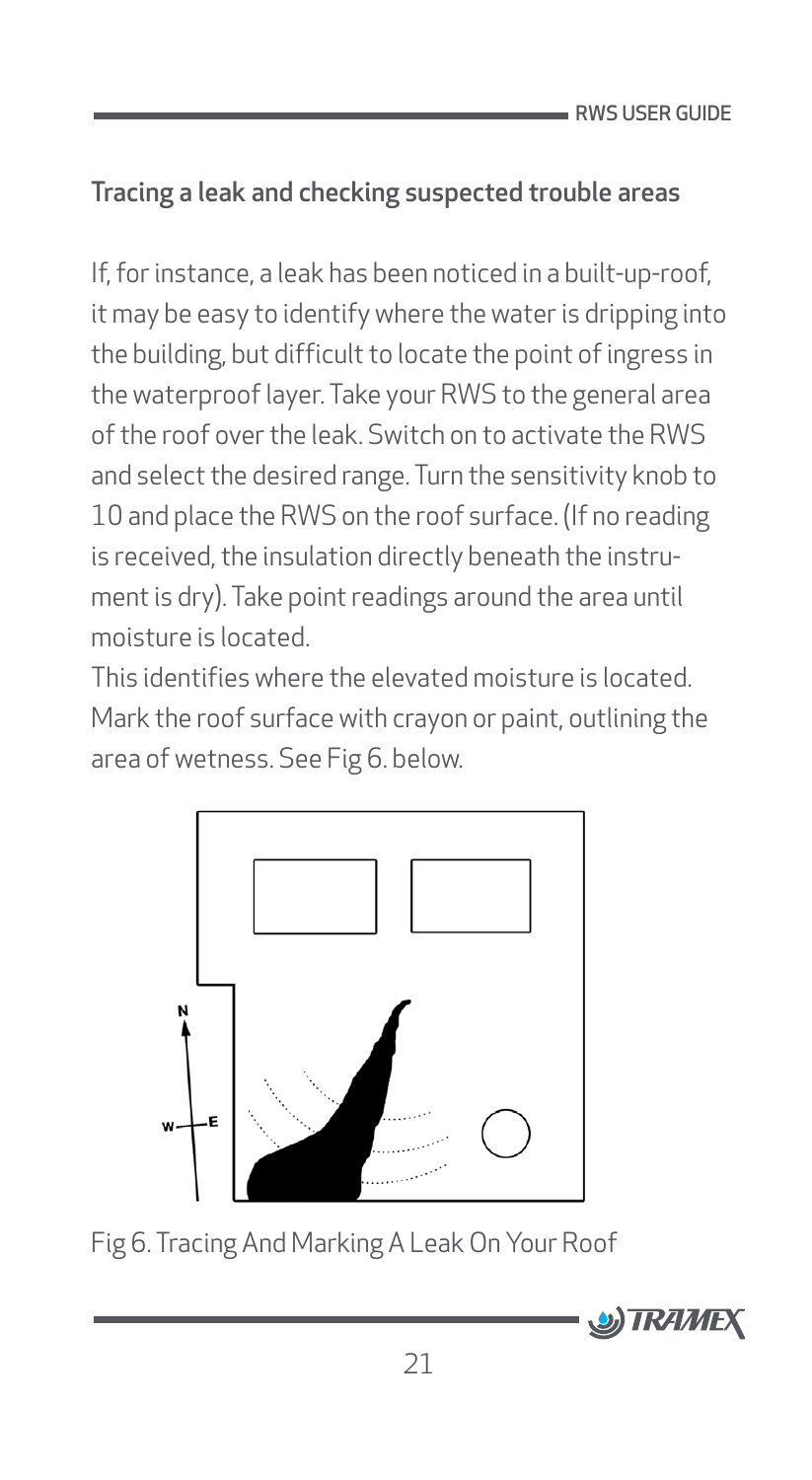RWS USER GUIDE

### <span id="page-21-0"></span>Tracing a leak and checking suspected trouble areas

If, for instance, a leak has been noticed in a built-up-roof, it may be easy to identify where the water is dripping into the building, but difficult to locate the point of ingress in the waterproof layer. Take your RWS to the general area of the roof over the leak. Switch on to activate the RWS and select the desired range. Turn the sensitivity knob to 10 and place the RWS on the roof surface. (If no reading is received, the insulation directly beneath the instrument is dry). Take point readings around the area until moisture is located.

This identifies where the elevated moisture is located. Mark the roof surface with crayon or paint, outlining the area of wetness. See Fig 6. below.

![](_page_21_Figure_4.jpeg)

Fig 6. Tracing And Marking A Leak On Your Roof

![](_page_21_Picture_6.jpeg)

21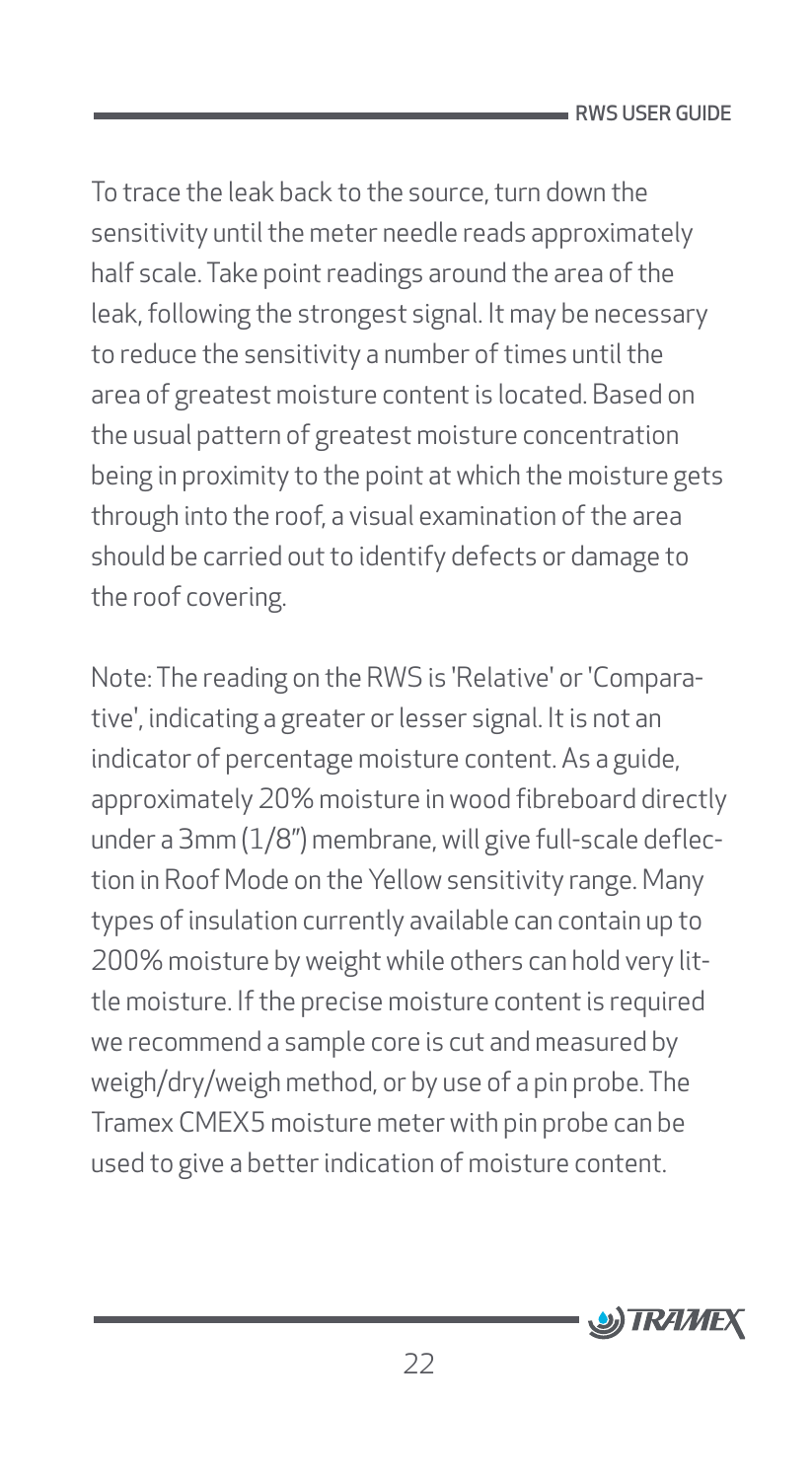To trace the leak back to the source, turn down the sensitivity until the meter needle reads approximately half scale. Take point readings around the area of the leak, following the strongest signal. It may be necessary to reduce the sensitivity a number of times until the area of greatest moisture content is located. Based on the usual pattern of greatest moisture concentration being in proximity to the point at which the moisture gets through into the roof, a visual examination of the area should be carried out to identify defects or damage to the roof covering.

Note: The reading on the RWS is 'Relative' or 'Comparative', indicating a greater or lesser signal. It is not an indicator of percentage moisture content. As a guide, approximately 20% moisture in wood fibreboard directly under a 3mm (1/8") membrane, will give full-scale deflection in Roof Mode on the Yellow sensitivity range. Many types of insulation currently available can contain up to 200% moisture by weight while others can hold very little moisture. If the precise moisture content is required we recommend a sample core is cut and measured by weigh/dry/weigh method, or by use of a pin probe. The Tramex CMEX5 moisture meter with pin probe can be used to give a better indication of moisture content.

![](_page_22_Picture_3.jpeg)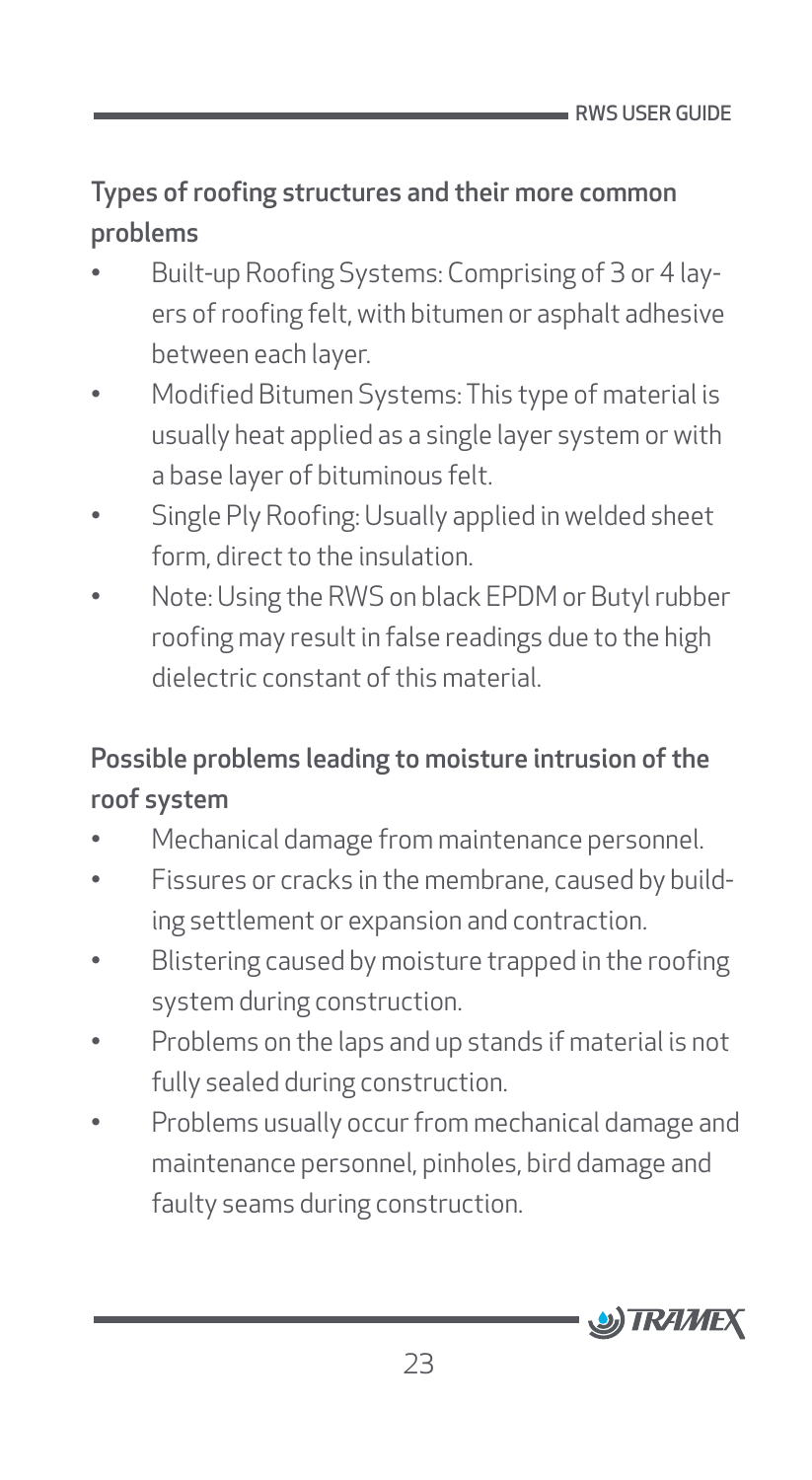#### <span id="page-23-0"></span>Types of roofing structures and their more common problems

- Built-up Roofing Systems: Comprising of 3 or 4 layers of roofing felt, with bitumen or asphalt adhesive between each layer.
- Modified Bitumen Systems: This type of material is usually heat applied as a single layer system or with a base layer of bituminous felt.
- Single Ply Roofing: Usually applied in welded sheet form, direct to the insulation.
- Note: Using the RWS on black EPDM or Butyl rubber roofing may result in false readings due to the high dielectric constant of this material.

# Possible problems leading to moisture intrusion of the roof system

- Mechanical damage from maintenance personnel.
- Fissures or cracks in the membrane, caused by building settlement or expansion and contraction.
- Blistering caused by moisture trapped in the roofing system during construction.
- Problems on the laps and up stands if material is not fully sealed during construction.
- Problems usually occur from mechanical damage and maintenance personnel, pinholes, bird damage and faulty seams during construction.

![](_page_23_Picture_12.jpeg)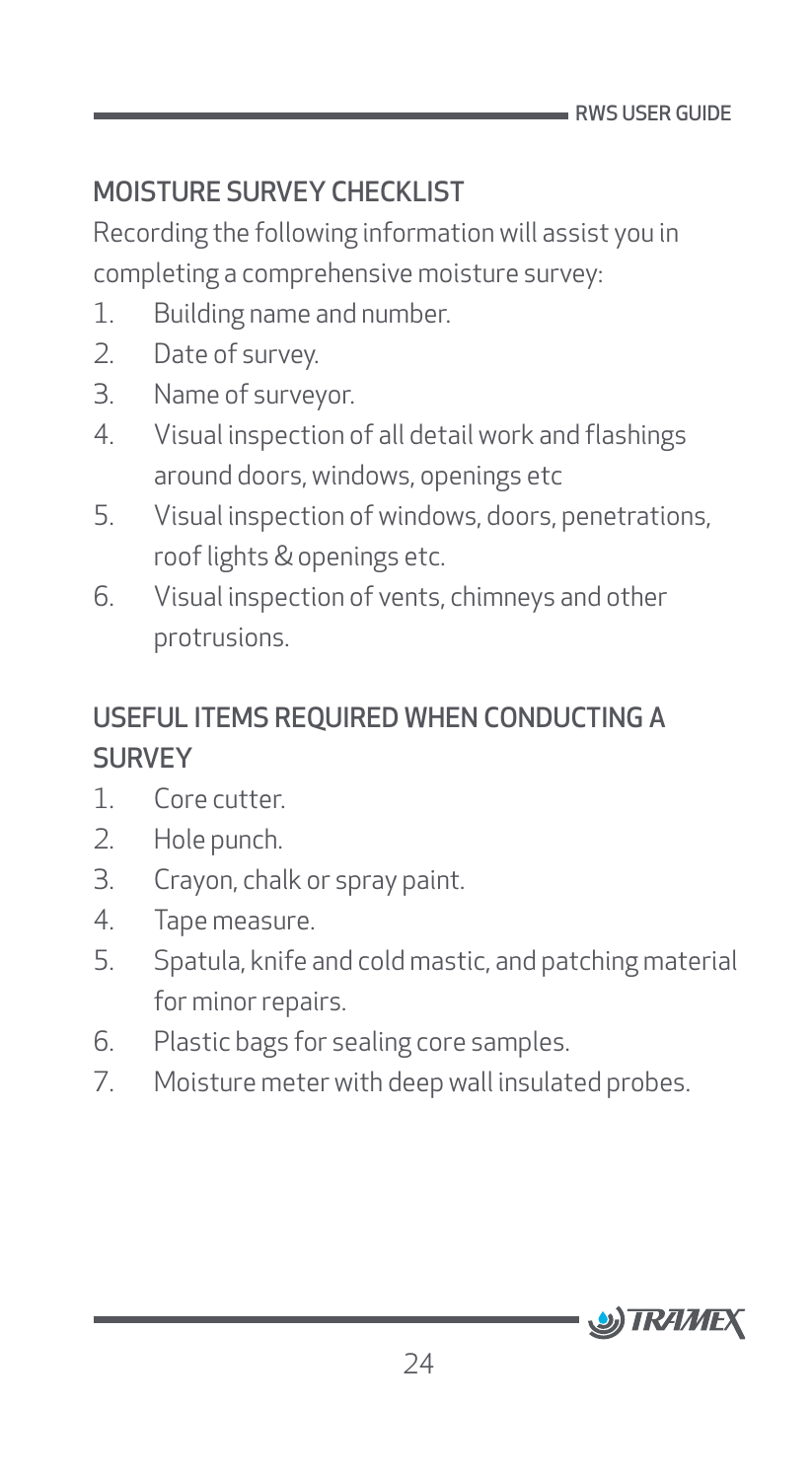# <span id="page-24-0"></span>MOISTURE SURVEY CHECKLIST

Recording the following information will assist you in completing a comprehensive moisture survey:

- 1. Building name and number.
- 2. Date of survey.
- 3. Name of surveyor.
- 4. Visual inspection of all detail work and flashings around doors, windows, openings etc
- 5. Visual inspection of windows, doors, penetrations, roof lights & openings etc.
- 6. Visual inspection of vents, chimneys and other protrusions.

# USEFUL ITEMS REQUIRED WHEN CONDUCTING A **SURVEY**

- 1. Core cutter.
- 2. Hole punch.
- 3. Crayon, chalk or spray paint.
- 4. Tape measure.
- 5. Spatula, knife and cold mastic, and patching material for minor repairs.
- 6. Plastic bags for sealing core samples.
- 7. Moisture meter with deep wall insulated probes.

![](_page_24_Picture_17.jpeg)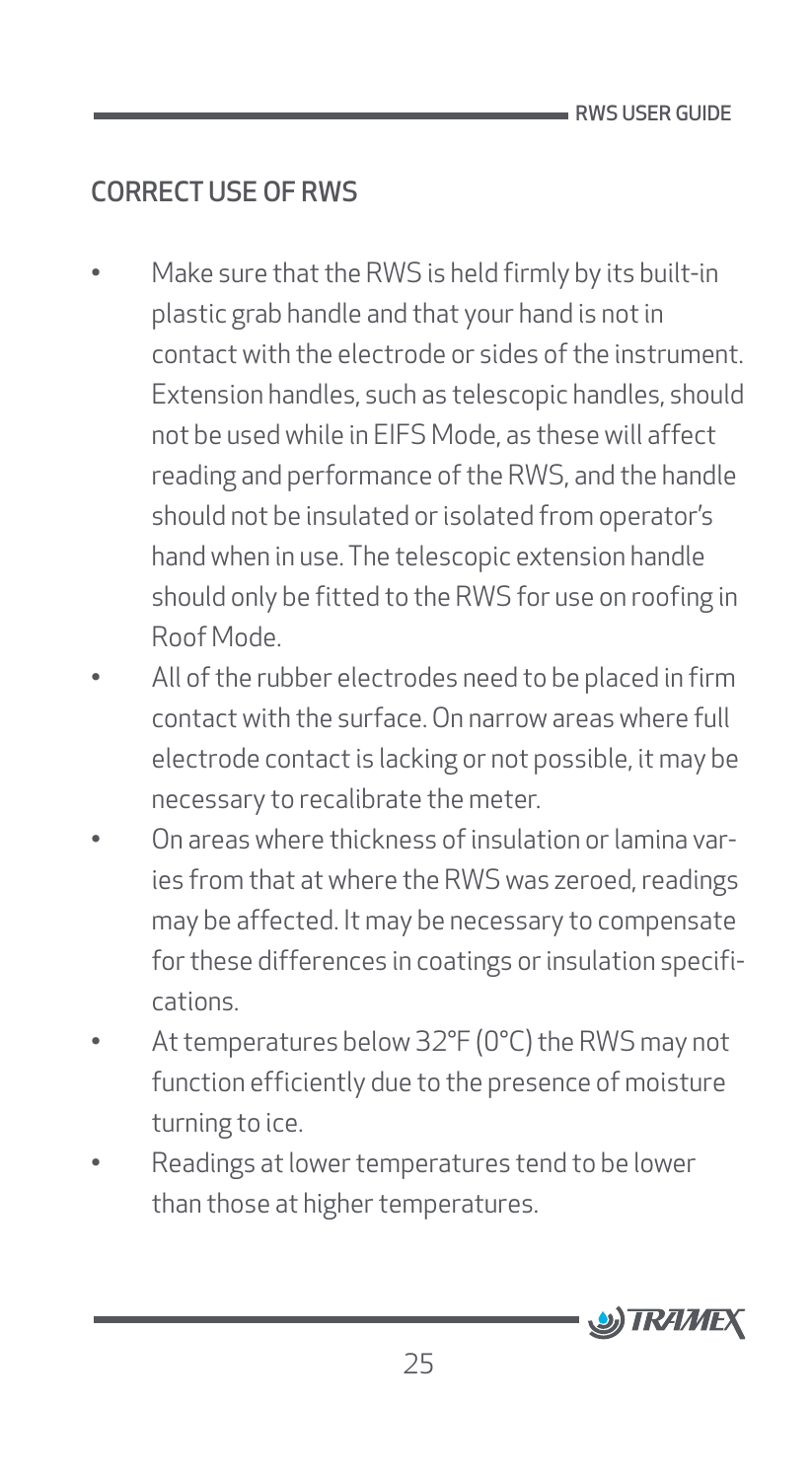# <span id="page-25-0"></span>CORRECT USE OF RWS

- Make sure that the RWS is held firmly by its built-in plastic grab handle and that your hand is not in contact with the electrode or sides of the instrument. Extension handles, such as telescopic handles, should not be used while in EIFS Mode, as these will affect reading and performance of the RWS, and the handle should not be insulated or isolated from operator's hand when in use. The telescopic extension handle should only be fitted to the RWS for use on roofing in Roof Mode.
- All of the rubber electrodes need to be placed in firm contact with the surface. On narrow areas where full electrode contact is lacking or not possible, it may be necessary to recalibrate the meter.
- On areas where thickness of insulation or lamina varies from that at where the RWS was zeroed, readings may be affected. It may be necessary to compensate for these differences in coatings or insulation specifications.
- At temperatures below 32°F (0°C) the RWS may not function efficiently due to the presence of moisture turning to ice.
- Readings at lower temperatures tend to be lower than those at higher temperatures.

![](_page_25_Picture_7.jpeg)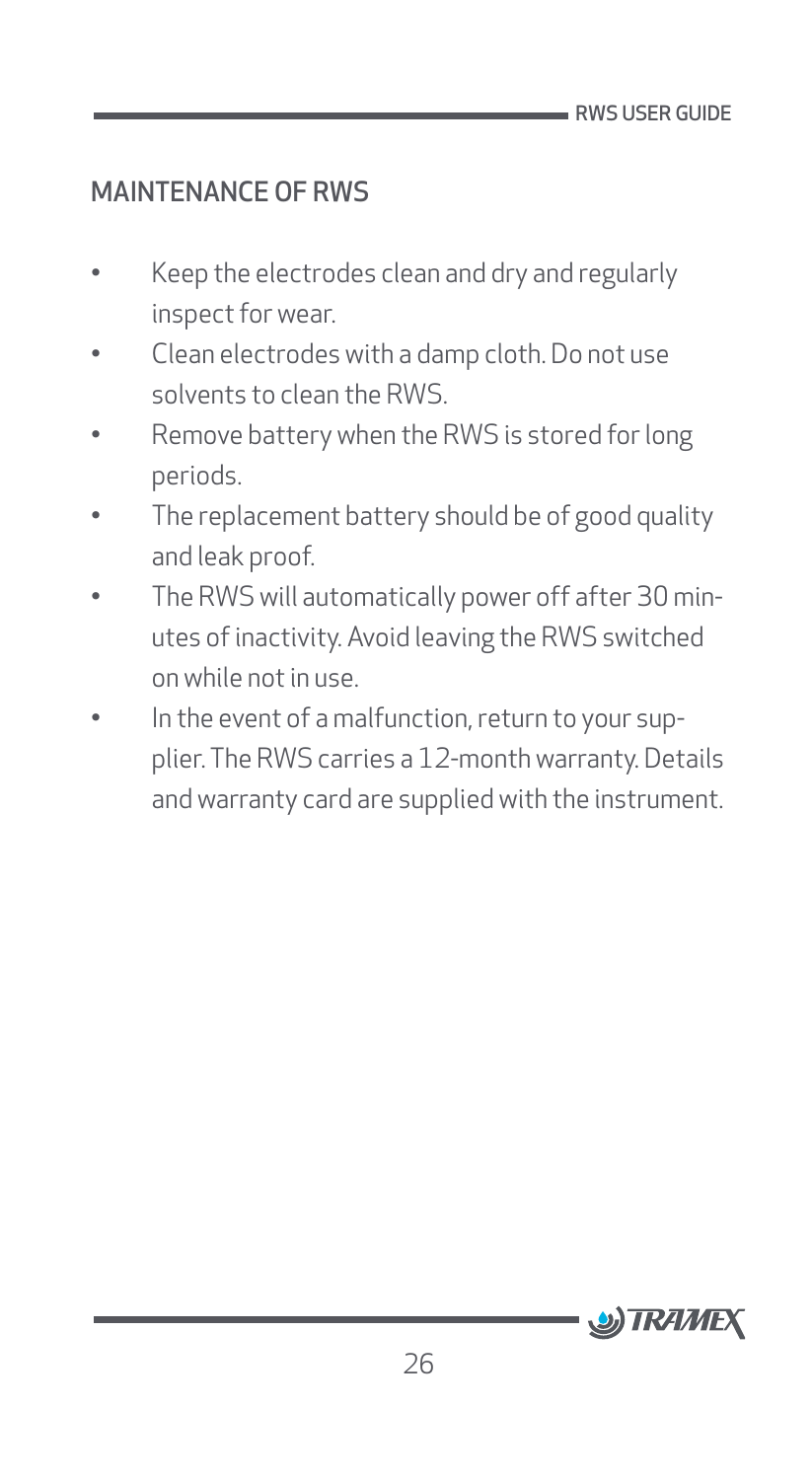#### <span id="page-26-0"></span>MAINTENANCE OF RWS

- Keep the electrodes clean and dry and regularly inspect for wear.
- Clean electrodes with a damp cloth. Do not use solvents to clean the RWS.
- Remove battery when the RWS is stored for long periods.
- The replacement battery should be of good quality and leak proof.
- The RWS will automatically power off after 30 minutes of inactivity. Avoid leaving the RWS switched on while not in use.
- In the event of a malfunction, return to your supplier. The RWS carries a 12-month warranty. Details and warranty card are supplied with the instrument.

![](_page_26_Picture_8.jpeg)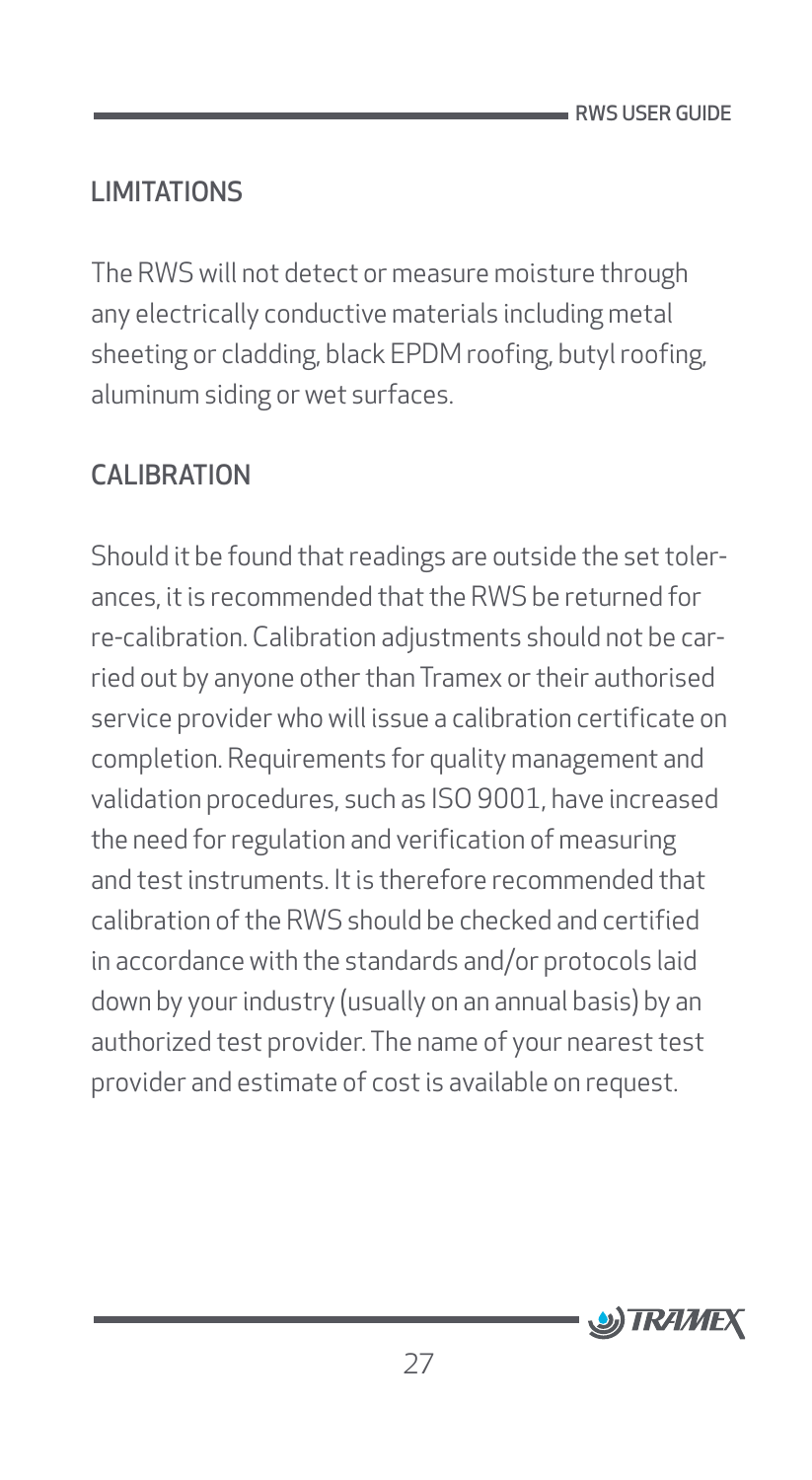# <span id="page-27-0"></span>LIMITATIONS

The RWS will not detect or measure moisture through any electrically conductive materials including metal sheeting or cladding, black EPDM roofing, butyl roofing, aluminum siding or wet surfaces.

### CALIBRATION

Should it be found that readings are outside the set tolerances, it is recommended that the RWS be returned for re-calibration. Calibration adjustments should not be carried out by anyone other than Tramex or their authorised service provider who will issue a calibration certificate on completion. Requirements for quality management and validation procedures, such as ISO 9001, have increased the need for regulation and verification of measuring and test instruments. It is therefore recommended that calibration of the RWS should be checked and certified in accordance with the standards and/or protocols laid down by your industry (usually on an annual basis) by an authorized test provider. The name of your nearest test provider and estimate of cost is available on request.

![](_page_27_Picture_5.jpeg)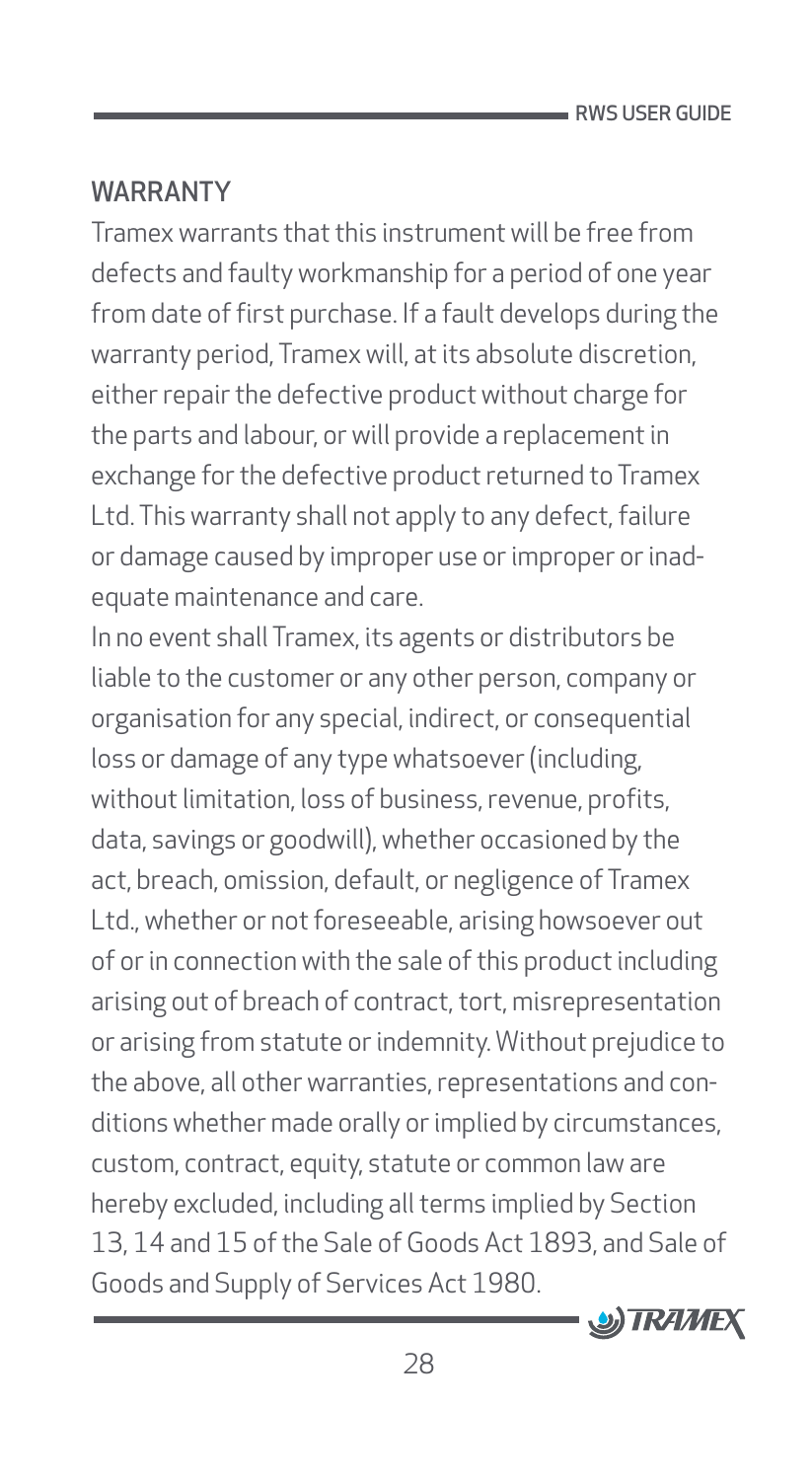### <span id="page-28-0"></span>WARRANTY

Tramex warrants that this instrument will be free from defects and faulty workmanship for a period of one year from date of first purchase. If a fault develops during the warranty period, Tramex will, at its absolute discretion, either repair the defective product without charge for the parts and labour, or will provide a replacement in exchange for the defective product returned to Tramex Ltd. This warranty shall not apply to any defect, failure or damage caused by improper use or improper or inadequate maintenance and care.

In no event shall Tramex, its agents or distributors be liable to the customer or any other person, company or organisation for any special, indirect, or consequential loss or damage of any type whatsoever (including, without limitation, loss of business, revenue, profits, data, savings or goodwill), whether occasioned by the act, breach, omission, default, or negligence of Tramex Ltd., whether or not foreseeable, arising howsoever out of or in connection with the sale of this product including arising out of breach of contract, tort, misrepresentation or arising from statute or indemnity. Without prejudice to the above, all other warranties, representations and conditions whether made orally or implied by circumstances, custom, contract, equity, statute or common law are hereby excluded, including all terms implied by Section 13, 14 and 15 of the Sale of Goods Act 1893, and Sale of Goods and Supply of Services Act 1980.

![](_page_28_Picture_4.jpeg)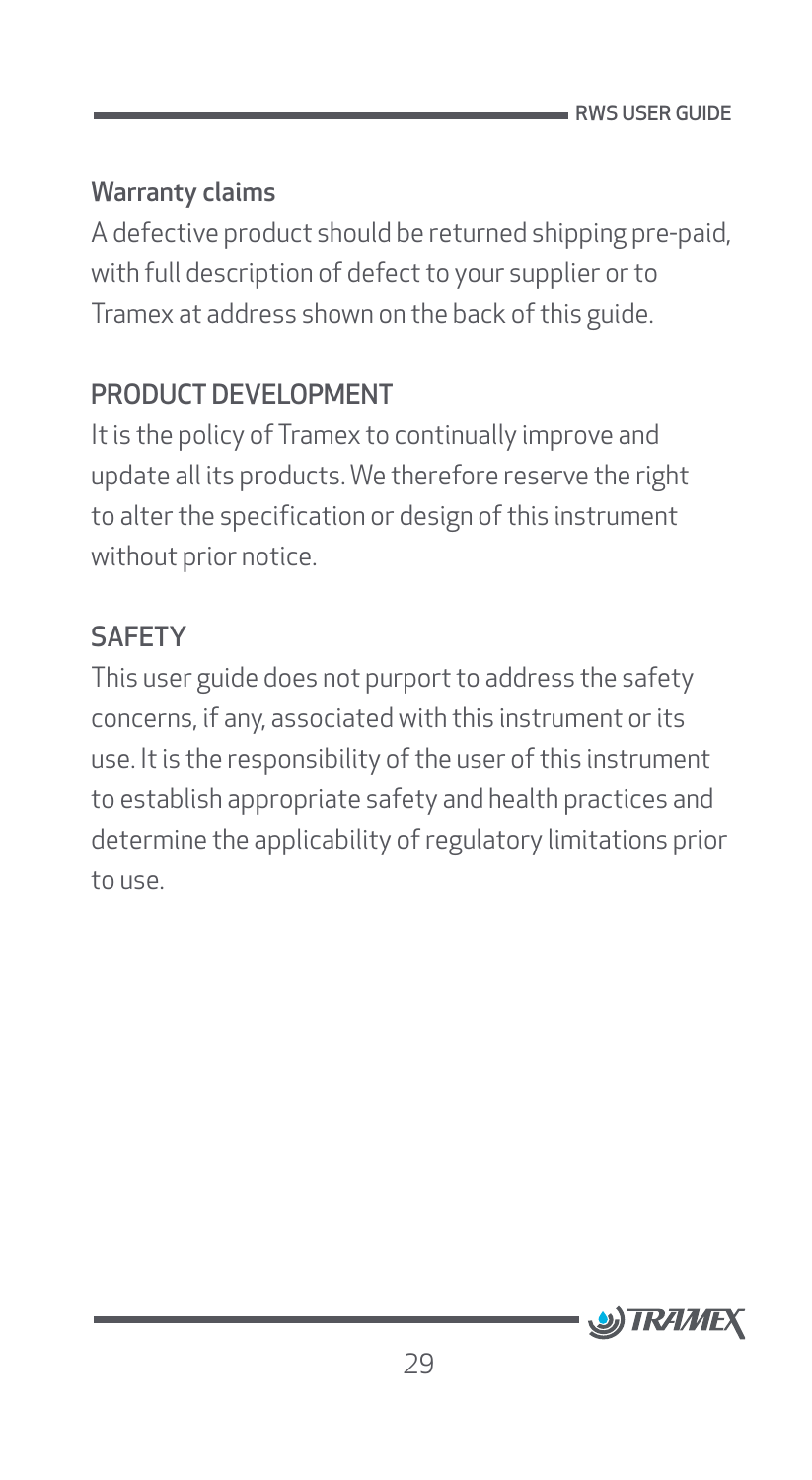#### <span id="page-29-0"></span>Warranty claims

A defective product should be returned shipping pre-paid, with full description of defect to your supplier or to Tramex at address shown on the back of this guide.

### PRODUCT DEVELOPMENT

It is the policy of Tramex to continually improve and update all its products. We therefore reserve the right to alter the specification or design of this instrument without prior notice.

### **SAFFTY**

This user guide does not purport to address the safety concerns, if any, associated with this instrument or its use. It is the responsibility of the user of this instrument to establish appropriate safety and health practices and determine the applicability of regulatory limitations prior to use.

![](_page_29_Picture_7.jpeg)